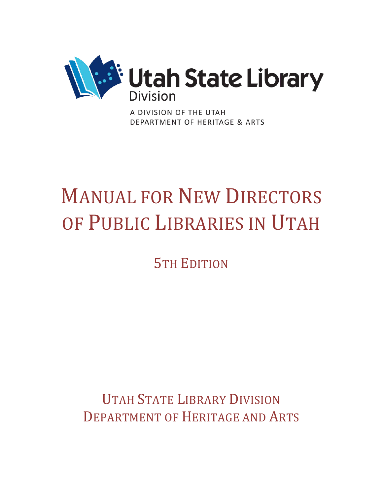

A DIVISION OF THE UTAH DEPARTMENT OF HERITAGE & ARTS

## MANUAL FOR NEW DIRECTORS OF PUBLIC LIBRARIES IN UTAH

5TH EDITION

UTAH STATE LIBRARY DIVISION DEPARTMENT OF HERITAGE AND ARTS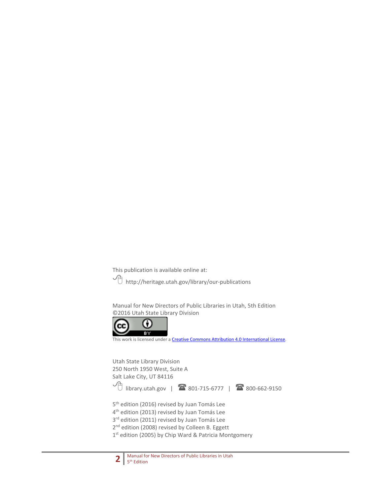This publication is available online at:

 $\widehat{\mathcal{A}}$  http://heritage.utah.gov/library/our-publications

Manual for New Directors of Public Libraries in Utah, 5th Edition ©2016 Utah State Library Division



This work is licensed under a [Creative Commons Attribution 4.0 International License.](http://creativecommons.org/licenses/by/4.0/)

Utah State Library Division 250 North 1950 West, Suite A Salt Lake City, UT 84116  $\sqrt{\frac{1}{10}}$  library.utah.gov | **1**801-715-6777 | **1**800-662-9150

5<sup>th</sup> edition (2016) revised by Juan Tomás Lee

4<sup>th</sup> edition (2013) revised by Juan Tomás Lee

3<sup>rd</sup> edition (2011) revised by Juan Tomás Lee

2<sup>nd</sup> edition (2008) revised by Colleen B. Eggett

1<sup>st</sup> edition (2005) by Chip Ward & Patricia Montgomery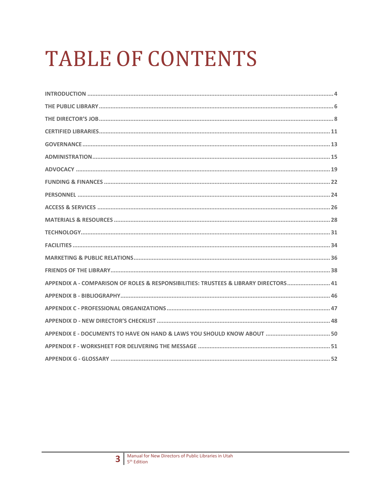# **TABLE OF CONTENTS**

| APPENDIX A - COMPARISON OF ROLES & RESPONSIBILITIES: TRUSTEES & LIBRARY DIRECTORS 41 |
|--------------------------------------------------------------------------------------|
|                                                                                      |
|                                                                                      |
|                                                                                      |
|                                                                                      |
|                                                                                      |
|                                                                                      |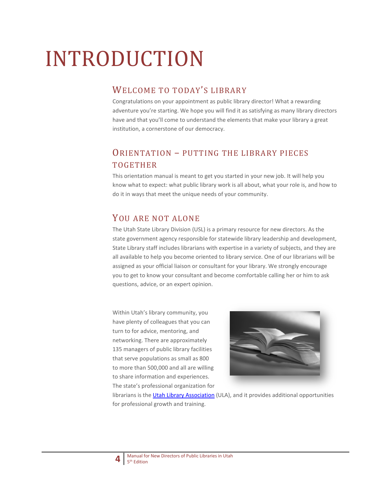# INTRODUCTION

## WELCOME TO TODAY'S LIBRARY

Congratulations on your appointment as public library director! What a rewarding adventure you're starting. We hope you will find it as satisfying as many library directors have and that you'll come to understand the elements that make your library a great institution, a cornerstone of our democracy.

## ORIENTATION – PUTTING THE LIBRARY PIECES TOGETHER

This orientation manual is meant to get you started in your new job. It will help you know what to expect: what public library work is all about, what your role is, and how to do it in ways that meet the unique needs of your community.

### YOU ARE NOT ALONE

The Utah State Library Division (USL) is a primary resource for new directors. As the state government agency responsible for statewide library leadership and development, State Library staff includes librarians with expertise in a variety of subjects, and they are all available to help you become oriented to library service. One of our librarians will be assigned as your official liaison or consultant for your library. We strongly encourage you to get to know your consultant and become comfortable calling her or him to ask questions, advice, or an expert opinion.

Within Utah's library community, you have plenty of colleagues that you can turn to for advice, mentoring, and networking. There are approximately 135 managers of public library facilities that serve populations as small as 800 to more than 500,000 and all are willing to share information and experiences. The state's professional organization for



librarians is the [Utah Library Association](http://ula.org/) (ULA), and it provides additional opportunities for professional growth and training.

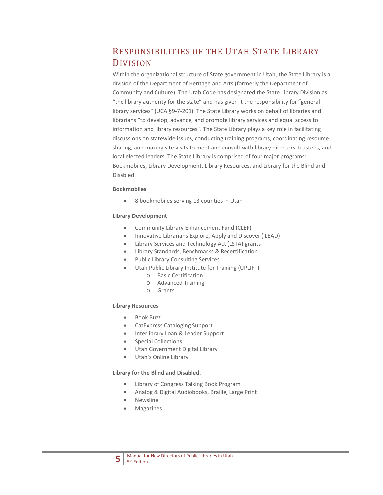## RESPONSIBILITIES OF THE UTAH STATE LIBRARY DIVISION

Within the organizational structure of State government in Utah, the State Library is a division of the Department of Heritage and Arts (formerly the Department of Community and Culture). The Utah Code has designated the State Library Division as "the library authority for the state" and has given it the responsibility for "general library services" (UCA §9-7-201). The State Library works on behalf of libraries and librarians "to develop, advance, and promote library services and equal access to information and library resources". The State Library plays a key role in facilitating discussions on statewide issues, conducting training programs, coordinating resource sharing, and making site visits to meet and consult with library directors, trustees, and local elected leaders. The State Library is comprised of four major programs: Bookmobiles, Library Development, Library Resources, and Library for the Blind and Disabled.

#### **Bookmobiles**

• 8 bookmobiles serving 13 counties in Utah

#### **Library Development**

- Community Library Enhancement Fund (CLEF)
- Innovative Librarians Explore, Apply and Discover (ILEAD)
- Library Services and Technology Act (LSTA) grants
- Library Standards, Benchmarks & Recertification
- Public Library Consulting Services
- Utah Public Library Institute for Training (UPLIFT)
	- o Basic Certification
	- o Advanced Training
	- o Grants

#### **Library Resources**

- Book Buzz
- CatExpress Cataloging Support
- Interlibrary Loan & Lender Support
- Special Collections
- Utah Government Digital Library
- Utah's Online Library

#### **Library for the Blind and Disabled.**

- Library of Congress Talking Book Program
- Analog & Digital Audiobooks, Braille, Large Print
- Newsline
- **Magazines**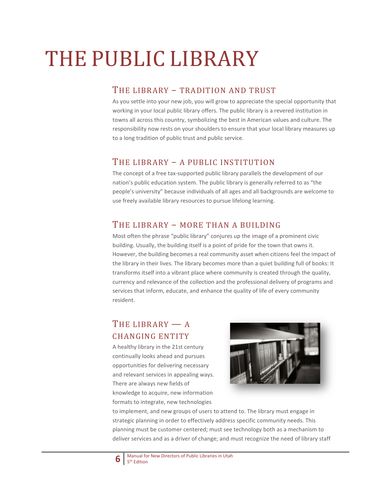# THE PUBLIC LIBRARY

#### THE LIBRARY – TRADITION AND TRUST

As you settle into your new job, you will grow to appreciate the special opportunity that working in your local public library offers. The public library is a revered institution in towns all across this country, symbolizing the best in American values and culture. The responsibility now rests on your shoulders to ensure that your local library measures up to a long tradition of public trust and public service.

## THE LIBRARY – A PUBLIC INSTITUTION

The concept of a free tax-supported public library parallels the development of our nation's public education system. The public library is generally referred to as "the people's university" because individuals of all ages and all backgrounds are welcome to use freely available library resources to pursue lifelong learning.

### THE LIBRARY – MORE THAN A BUILDING

Most often the phrase "public library" conjures up the image of a prominent civic building. Usually, the building itself is a point of pride for the town that owns it. However, the building becomes a real community asset when citizens feel the impact of the library in their lives. The library becomes more than a quiet building full of books: It transforms itself into a vibrant place where community is created through the quality, currency and relevance of the collection and the professional delivery of programs and services that inform, educate, and enhance the quality of life of every community resident.

## THE LIBRARY — A CHANGING ENTITY

A healthy library in the 21st century continually looks ahead and pursues opportunities for delivering necessary and relevant services in appealing ways. There are always new fields of knowledge to acquire, new information formats to integrate, new technologies



to implement, and new groups of users to attend to. The library must engage in strategic planning in order to effectively address specific community needs. This planning must be customer centered; must see technology both as a mechanism to deliver services and as a driver of change; and must recognize the need of library staff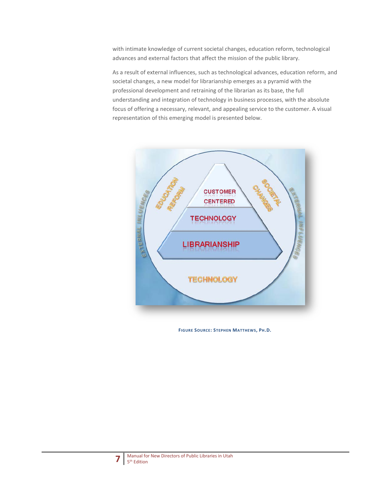with intimate knowledge of current societal changes, education reform, technological advances and external factors that affect the mission of the public library.

As a result of external influences, such as technological advances, education reform, and societal changes, a new model for librarianship emerges as a pyramid with the professional development and retraining of the librarian as its base, the full understanding and integration of technology in business processes, with the absolute focus of offering a necessary, relevant, and appealing service to the customer. A visual representation of this emerging model is presented below.



**FIGURE SOURCE: STEPHEN MATTHEWS, PH.D.**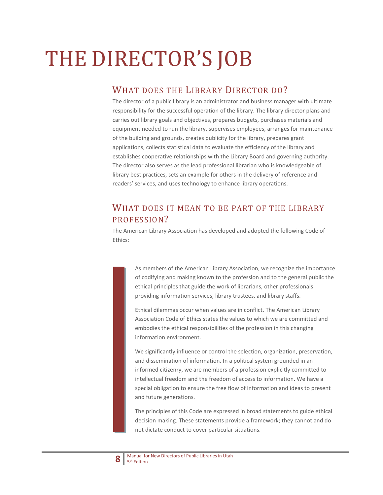# THE DIRECTOR'S JOB

## WHAT DOES THE LIBRARY DIRECTOR DO?

The director of a public library is an administrator and business manager with ultimate responsibility for the successful operation of the library. The library director plans and carries out library goals and objectives, prepares budgets, purchases materials and equipment needed to run the library, supervises employees, arranges for maintenance of the building and grounds, creates publicity for the library, prepares grant applications, collects statistical data to evaluate the efficiency of the library and establishes cooperative relationships with the Library Board and governing authority. The director also serves as the lead professional librarian who is knowledgeable of library best practices, sets an example for others in the delivery of reference and readers' services, and uses technology to enhance library operations.

## WHAT DOES IT MEAN TO BE PART OF THE LIBRARY PROFESSION?

The American Library Association has developed and adopted the following Code of Ethics:

> As members of the American Library Association, we recognize the importance of codifying and making known to the profession and to the general public the ethical principles that guide the work of librarians, other professionals providing information services, library trustees, and library staffs.

Ethical dilemmas occur when values are in conflict. The American Library Association Code of Ethics states the values to which we are committed and embodies the ethical responsibilities of the profession in this changing information environment.

We significantly influence or control the selection, organization, preservation, and dissemination of information. In a political system grounded in an informed citizenry, we are members of a profession explicitly committed to intellectual freedom and the freedom of access to information. We have a special obligation to ensure the free flow of information and ideas to present and future generations.

The principles of this Code are expressed in broad statements to guide ethical decision making. These statements provide a framework; they cannot and do not dictate conduct to cover particular situations.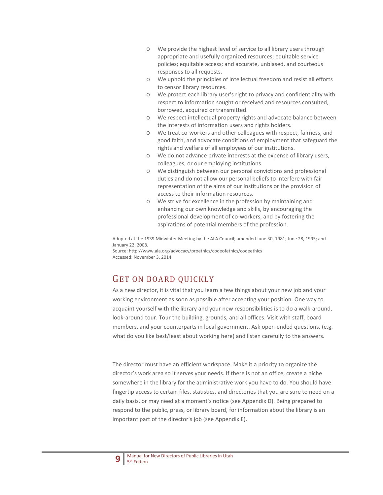- o We provide the highest level of service to all library users through appropriate and usefully organized resources; equitable service policies; equitable access; and accurate, unbiased, and courteous responses to all requests.
- o We uphold the principles of intellectual freedom and resist all efforts to censor library resources.
- o We protect each library user's right to privacy and confidentiality with respect to information sought or received and resources consulted, borrowed, acquired or transmitted.
- o We respect intellectual property rights and advocate balance between the interests of information users and rights holders.
- o We treat co-workers and other colleagues with respect, fairness, and good faith, and advocate conditions of employment that safeguard the rights and welfare of all employees of our institutions.
- o We do not advance private interests at the expense of library users, colleagues, or our employing institutions.
- o We distinguish between our personal convictions and professional duties and do not allow our personal beliefs to interfere with fair representation of the aims of our institutions or the provision of access to their information resources.
- o We strive for excellence in the profession by maintaining and enhancing our own knowledge and skills, by encouraging the professional development of co-workers, and by fostering the aspirations of potential members of the profession.

Adopted at the 1939 Midwinter Meeting by the ALA Council; amended June 30, 1981; June 28, 1995; and January 22, 2008.

Source: http://www.ala.org/advocacy/proethics/codeofethics/codeethics Accessed: November 3, 2014

## GET ON BOARD QUICKLY

As a new director, it is vital that you learn a few things about your new job and your working environment as soon as possible after accepting your position. One way to acquaint yourself with the library and your new responsibilities is to do a walk-around, look-around tour. Tour the building, grounds, and all offices. Visit with staff, board members, and your counterparts in local government. Ask open-ended questions, (e.g. what do you like best/least about working here) and listen carefully to the answers.

The director must have an efficient workspace. Make it a priority to organize the director's work area so it serves your needs. If there is not an office, create a niche somewhere in the library for the administrative work you have to do. You should have fingertip access to certain files, statistics, and directories that you are sure to need on a daily basis, or may need at a moment's notice (see Appendix D). Being prepared to respond to the public, press, or library board, for information about the library is an important part of the director's job (see Appendix E).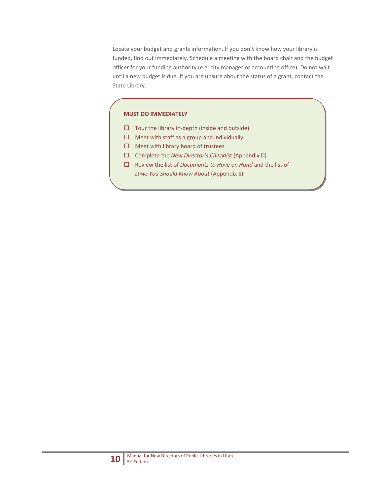Locate your budget and grants information. If you don't know how your library is funded, find out immediately. Schedule a meeting with the board chair and the budget officer for your funding authority (e.g. city manager or accounting office). Do not wait until a new budget is due. If you are unsure about the status of a grant, contact the State Library.

#### **MUST DO IMMEDIATELY**

- $\Box$  Tour the library in-depth (inside and outside)
- $\Box$  Meet with staff as a group and individually
- $\Box$  Meet with library board of trustees
- Complete the *New Director's Checklist* (Appendix D)
- Review the list of *Documents to Have on Hand* and the list of *Laws You Should Know About* (Appendix E)

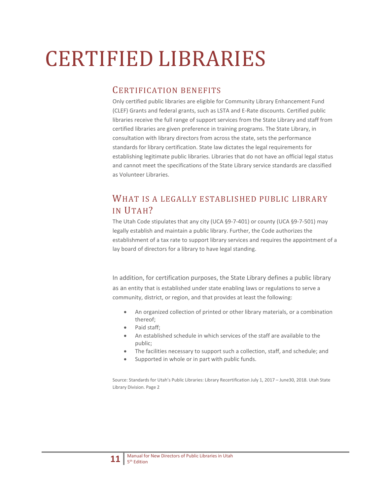# CERTIFIED LIBRARIES

### CERTIFICATION BENEFITS

Only certified public libraries are eligible for Community Library Enhancement Fund (CLEF) Grants and federal grants, such as LSTA and E-Rate discounts. Certified public libraries receive the full range of support services from the State Library and staff from certified libraries are given preference in training programs. The State Library, in consultation with library directors from across the state, sets the performance standards for library certification. State law dictates the legal requirements for establishing legitimate public libraries. Libraries that do not have an official legal status and cannot meet the specifications of the State Library service standards are classified as Volunteer Libraries.

## WHAT IS A LEGALLY ESTABLISHED PUBLIC LIBRARY IN UTAH?

The Utah Code stipulates that any city (UCA §9-7-401) or county (UCA §9-7-501) may legally establish and maintain a public library. Further, the Code authorizes the establishment of a tax rate to support library services and requires the appointment of a lay board of directors for a library to have legal standing.

In addition, for certification purposes, the State Library defines a public library as an entity that is established under state enabling laws or regulations to serve a community, district, or region, and that provides at least the following:

- An organized collection of printed or other library materials, or a combination thereof;
- Paid staff;
- An established schedule in which services of the staff are available to the public;
- The facilities necessary to support such a collection, staff, and schedule; and
- Supported in whole or in part with public funds.

Source: Standards for Utah's Public Libraries: Library Recertification July 1, 2017 – June30, 2018. Utah State Library Division. Page 2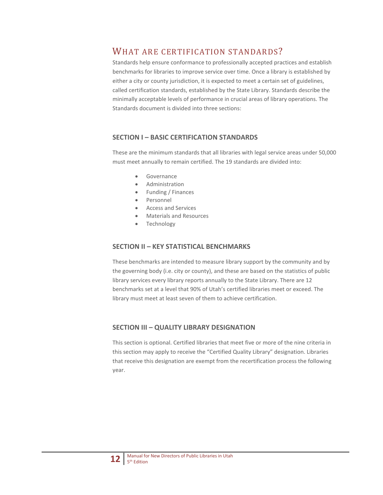### WHAT ARE CERTIFICATION STANDARDS?

Standards help ensure conformance to professionally accepted practices and establish benchmarks for libraries to improve service over time. Once a library is established by either a city or county jurisdiction, it is expected to meet a certain set of guidelines, called certification standards, established by the State Library. Standards describe the minimally acceptable levels of performance in crucial areas of library operations. The Standards document is divided into three sections:

#### **SECTION I – BASIC CERTIFICATION STANDARDS**

These are the minimum standards that all libraries with legal service areas under 50,000 must meet annually to remain certified. The 19 standards are divided into:

- Governance
- Administration
- Funding / Finances
- Personnel
- Access and Services
- Materials and Resources
- Technology

#### **SECTION II – KEY STATISTICAL BENCHMARKS**

These benchmarks are intended to measure library support by the community and by the governing body (i.e. city or county), and these are based on the statistics of public library services every library reports annually to the State Library. There are 12 benchmarks set at a level that 90% of Utah's certified libraries meet or exceed. The library must meet at least seven of them to achieve certification.

#### **SECTION III – QUALITY LIBRARY DESIGNATION**

This section is optional. Certified libraries that meet five or more of the nine criteria in this section may apply to receive the "Certified Quality Library" designation. Libraries that receive this designation are exempt from the recertification process the following year.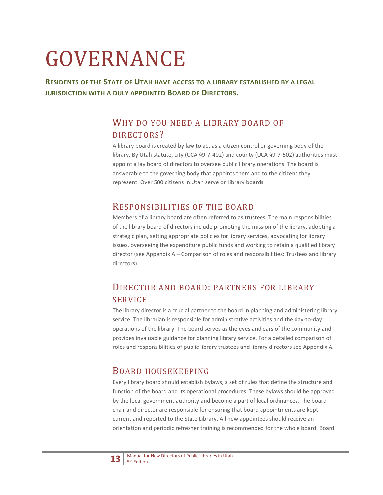# GOVERNANCE

**RESIDENTS OF THE STATE OF UTAH HAVE ACCESS TO A LIBRARY ESTABLISHED BY A LEGAL JURISDICTION WITH A DULY APPOINTED BOARD OF DIRECTORS.**

## WHY DO YOU NEED A LIBRARY BOARD OF DIRECTORS?

A library board is created by law to act as a citizen control or governing body of the library. By Utah statute, city (UCA §9-7-402) and county (UCA §9-7-502) authorities must appoint a lay board of directors to oversee public library operations. The board is answerable to the governing body that appoints them and to the citizens they represent. Over 500 citizens in Utah serve on library boards.

#### RESPONSIBILITIES OF THE BOARD

Members of a library board are often referred to as trustees. The main responsibilities of the library board of directors include promoting the mission of the library, adopting a strategic plan, setting appropriate policies for library services, advocating for library issues, overseeing the expenditure public funds and working to retain a qualified library director (see Appendix A – Comparison of roles and responsibilities: Trustees and library directors).

## DIRECTOR AND BOARD: PARTNERS FOR LIBRARY SERVICE

The library director is a crucial partner to the board in planning and administering library service. The librarian is responsible for administrative activities and the day-to-day operations of the library. The board serves as the eyes and ears of the community and provides invaluable guidance for planning library service. For a detailed comparison of roles and responsibilities of public library trustees and library directors see Appendix A.

### BOARD HOUSEKEEPING

Every library board should establish bylaws, a set of rules that define the structure and function of the board and its operational procedures. These bylaws should be approved by the local government authority and become a part of local ordinances. The board chair and director are responsible for ensuring that board appointments are kept current and reported to the State Library. All new appointees should receive an orientation and periodic refresher training is recommended for the whole board. Board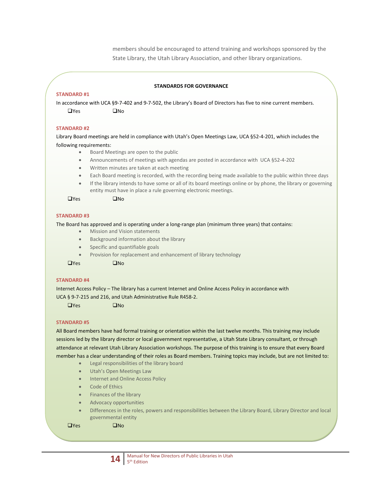members should be encouraged to attend training and workshops sponsored by the State Library, the Utah Library Association, and other library organizations.

#### **STANDARDS FOR GOVERNANCE**

#### **STANDARD #1**

In accordance with UCA §9-7-402 and 9-7-502, the Library's Board of Directors has five to nine current members.  $\Box$ Yes  $\Box$ No

#### **STANDARD #2**

Library Board meetings are held in compliance with Utah's Open Meetings Law, UCA §52-4-201, which includes the following requirements:

- Board Meetings are open to the public
- Announcements of meetings with agendas are posted in accordance with UCA §52-4-202
- Written minutes are taken at each meeting
- Each Board meeting is recorded, with the recording being made available to the public within three days
- If the library intends to have some or all of its board meetings online or by phone, the library or governing entity must have in place a rule governing electronic meetings.

 $\Box$ Yes  $\Box$ No

#### **STANDARD #3**

The Board has approved and is operating under a long-range plan (minimum three years) that contains:

- Mission and Vision statements
- Background information about the library
- Specific and quantifiable goals
- Provision for replacement and enhancement of library technology

 $\Box$ Yes  $\Box$ No

#### **STANDARD #4**

Internet Access Policy – The library has a current Internet and Online Access Policy in accordance with UCA § 9-7-215 and 216, and Utah Administrative Rule R458-2.

 $\Box$ Yes  $\Box$ No

#### **STANDARD #5**

All Board members have had formal training or orientation within the last twelve months. This training may include sessions led by the library director or local government representative, a Utah State Library consultant, or through attendance at relevant Utah Library Association workshops. The purpose of this training is to ensure that every Board member has a clear understanding of their roles as Board members. Training topics may include, but are not limited to:

- Legal responsibilities of the library board
- Utah's Open Meetings Law
- Internet and Online Access Policy
- Code of Ethics
- Finances of the library
- Advocacy opportunities
- Differences in the roles, powers and responsibilities between the Library Board, Library Director and local governmental entity

 $\Box$ Yes  $\Box$ No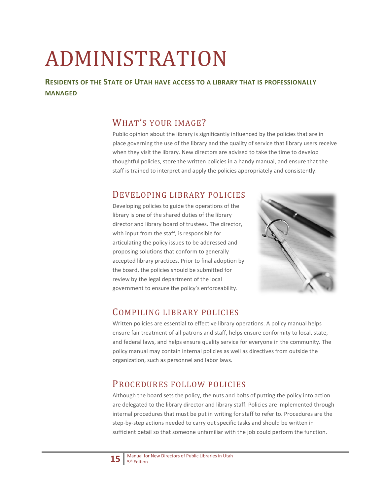# ADMINISTRATION

#### **RESIDENTS OF THE STATE OF UTAH HAVE ACCESS TO A LIBRARY THAT IS PROFESSIONALLY MANAGED**

## WHAT'S YOUR IMAGE?

Public opinion about the library is significantly influenced by the policies that are in place governing the use of the library and the quality of service that library users receive when they visit the library. New directors are advised to take the time to develop thoughtful policies, store the written policies in a handy manual, and ensure that the staff is trained to interpret and apply the policies appropriately and consistently.

## DEVELOPING LIBRARY POLICIES

Developing policies to guide the operations of the library is one of the shared duties of the library director and library board of trustees. The director, with input from the staff, is responsible for articulating the policy issues to be addressed and proposing solutions that conform to generally accepted library practices. Prior to final adoption by the board, the policies should be submitted for review by the legal department of the local government to ensure the policy's enforceability.



### COMPILING LIBRARY POLICIES

Written policies are essential to effective library operations. A policy manual helps ensure fair treatment of all patrons and staff, helps ensure conformity to local, state, and federal laws, and helps ensure quality service for everyone in the community. The policy manual may contain internal policies as well as directives from outside the organization, such as personnel and labor laws.

## PROCEDURES FOLLOW POLICIES

Although the board sets the policy, the nuts and bolts of putting the policy into action are delegated to the library director and library staff. Policies are implemented through internal procedures that must be put in writing for staff to refer to. Procedures are the step-by-step actions needed to carry out specific tasks and should be written in sufficient detail so that someone unfamiliar with the job could perform the function.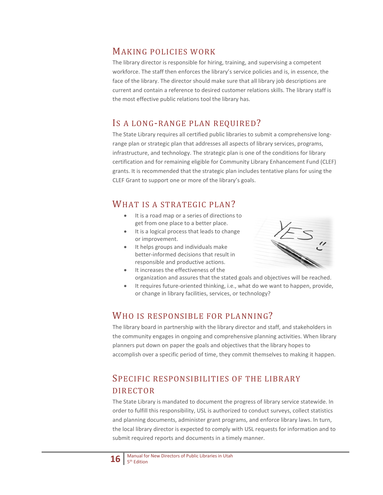#### MAKING POLICIES WORK

The library director is responsible for hiring, training, and supervising a competent workforce. The staff then enforces the library's service policies and is, in essence, the face of the library. The director should make sure that all library job descriptions are current and contain a reference to desired customer relations skills. The library staff is the most effective public relations tool the library has.

### IS A LONG-RANGE PLAN REQUIRED?

The State Library requires all certified public libraries to submit a comprehensive longrange plan or strategic plan that addresses all aspects of library services, programs, infrastructure, and technology. The strategic plan is one of the conditions for library certification and for remaining eligible for Community Library Enhancement Fund (CLEF) grants. It is recommended that the strategic plan includes tentative plans for using the CLEF Grant to support one or more of the library's goals.

### WHAT IS A STRATEGIC PLAN?

- It is a road map or a series of directions to get from one place to a better place.
- It is a logical process that leads to change or improvement.
- It helps groups and individuals make better-informed decisions that result in responsible and productive actions.



- It increases the effectiveness of the organization and assures that the stated goals and objectives will be reached.
- It requires future-oriented thinking, i.e., what do we want to happen, provide, or change in library facilities, services, or technology?

### WHO IS RESPONSIBLE FOR PLANNING?

The library board in partnership with the library director and staff, and stakeholders in the community engages in ongoing and comprehensive planning activities. When library planners put down on paper the goals and objectives that the library hopes to accomplish over a specific period of time, they commit themselves to making it happen.

## SPECIFIC RESPONSIBILITIES OF THE LIBRARY DIRECTOR

The State Library is mandated to document the progress of library service statewide. In order to fulfill this responsibility, USL is authorized to conduct surveys, collect statistics and planning documents, administer grant programs, and enforce library laws. In turn, the local library director is expected to comply with USL requests for information and to submit required reports and documents in a timely manner.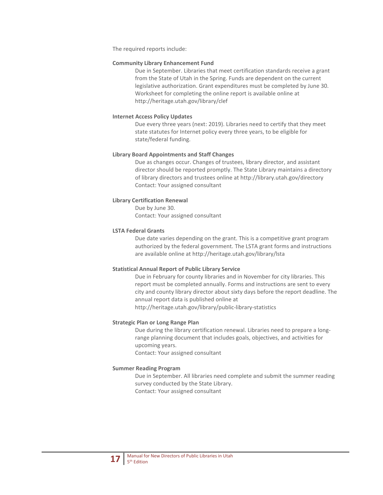The required reports include:

#### **Community Library Enhancement Fund**

Due in September. Libraries that meet certification standards receive a grant from the State of Utah in the Spring. Funds are dependent on the current legislative authorization. Grant expenditures must be completed by June 30. Worksheet for completing the online report is available online at http://heritage.utah.gov/library/clef

#### **Internet Access Policy Updates**

Due every three years (next: 2019). Libraries need to certify that they meet state statutes for Internet policy every three years, to be eligible for state/federal funding.

#### **Library Board Appointments and Staff Changes**

Due as changes occur. Changes of trustees, library director, and assistant director should be reported promptly. The State Library maintains a directory of library directors and trustees online at http://library.utah.gov/directory Contact: Your assigned consultant

#### **Library Certification Renewal**

Due by June 30. Contact: Your assigned consultant

#### **LSTA Federal Grants**

Due date varies depending on the grant. This is a competitive grant program authorized by the federal government. The LSTA grant forms and instructions are available online at http://heritage.utah.gov/library/lsta

#### **Statistical Annual Report of Public Library Service**

Due in February for county libraries and in November for city libraries. This report must be completed annually. Forms and instructions are sent to every city and county library director about sixty days before the report deadline. The annual report data is published online at http://heritage.utah.gov/library/public-library-statistics

#### **Strategic Plan or Long Range Plan**

Due during the library certification renewal. Libraries need to prepare a longrange planning document that includes goals, objectives, and activities for upcoming years. Contact: Your assigned consultant

#### **Summer Reading Program**

Due in September. All libraries need complete and submit the summer reading survey conducted by the State Library. Contact: Your assigned consultant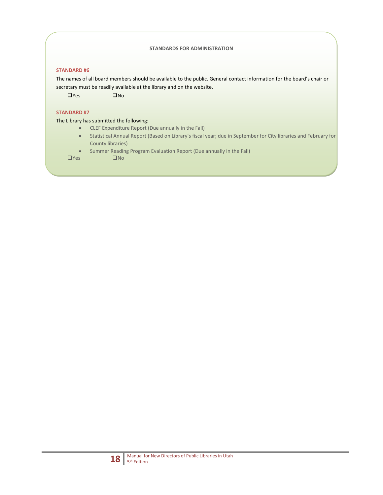#### **STANDARDS FOR ADMINISTRATION**

#### **STANDARD #6**

The names of all board members should be available to the public. General contact information for the board's chair or secretary must be readily available at the library and on the website.

 $\Box$ Yes  $\Box$ No

#### **STANDARD #7**

The Library has submitted the following:

- CLEF Expenditure Report (Due annually in the Fall)
- Statistical Annual Report (Based on Library's fiscal year; due in September for City libraries and February for County libraries)
- Summer Reading Program Evaluation Report (Due annually in the Fall)<br>
S

 $\Box$ Yes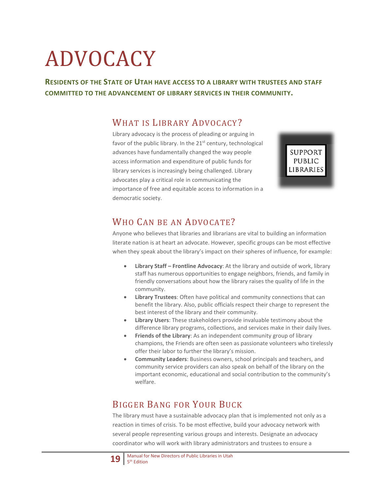# ADVOCACY

**RESIDENTS OF THE STATE OF UTAH HAVE ACCESS TO A LIBRARY WITH TRUSTEES AND STAFF COMMITTED TO THE ADVANCEMENT OF LIBRARY SERVICES IN THEIR COMMUNITY.**

## WHAT IS LIBRARY ADVOCACY?

Library advocacy is the process of pleading or arguing in favor of the public library. In the  $21<sup>st</sup>$  century, technological advances have fundamentally changed the way people access information and expenditure of public funds for library services is increasingly being challenged. Library advocates play a critical role in communicating the importance of free and equitable access to information in a democratic society.

**SUPPORT** PUBLIC **LIBRARIES** 

## WHO CAN BE AN ADVOCATE?

Anyone who believes that libraries and librarians are vital to building an information literate nation is at heart an advocate. However, specific groups can be most effective when they speak about the library's impact on their spheres of influence, for example:

- **Library Staff – Frontline Advocacy**: At the library and outside of work, library staff has numerous opportunities to engage neighbors, friends, and family in friendly conversations about how the library raises the quality of life in the community.
- **Library Trustees**: Often have political and community connections that can benefit the library. Also, public officials respect their charge to represent the best interest of the library and their community.
- **Library Users**: These stakeholders provide invaluable testimony about the difference library programs, collections, and services make in their daily lives.
- **Friends of the Library:** As an independent community group of library champions, the Friends are often seen as passionate volunteers who tirelessly offer their labor to further the library's mission.
- **Community Leaders**: Business owners, school principals and teachers, and community service providers can also speak on behalf of the library on the important economic, educational and social contribution to the community's welfare.

## BIGGER BANG FOR YOUR BUCK

The library must have a sustainable advocacy plan that is implemented not only as a reaction in times of crisis. To be most effective, build your advocacy network with several people representing various groups and interests. Designate an advocacy coordinator who will work with library administrators and trustees to ensure a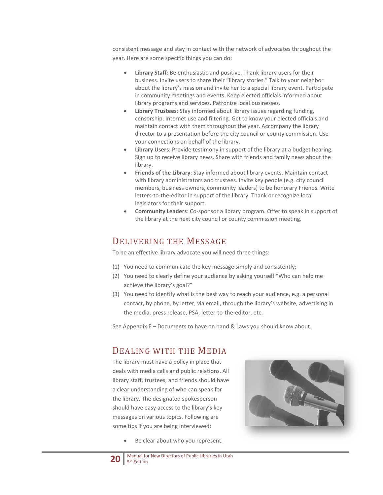consistent message and stay in contact with the network of advocates throughout the year. Here are some specific things you can do:

- **Library Staff**: Be enthusiastic and positive. Thank library users for their business. Invite users to share their "library stories." Talk to your neighbor about the library's mission and invite her to a special library event. Participate in community meetings and events. Keep elected officials informed about library programs and services. Patronize local businesses.
- **Library Trustees**: Stay informed about library issues regarding funding, censorship, Internet use and filtering. Get to know your elected officials and maintain contact with them throughout the year. Accompany the library director to a presentation before the city council or county commission. Use your connections on behalf of the library.
- **Library Users**: Provide testimony in support of the library at a budget hearing. Sign up to receive library news. Share with friends and family news about the library.
- **Friends of the Library**: Stay informed about library events. Maintain contact with library administrators and trustees. Invite key people (e.g. city council members, business owners, community leaders) to be honorary Friends. Write letters-to-the-editor in support of the library. Thank or recognize local legislators for their support.
- **Community Leaders**: Co-sponsor a library program. Offer to speak in support of the library at the next city council or county commission meeting.

#### DELIVERING THE MESSAGE

To be an effective library advocate you will need three things:

- (1) You need to communicate the key message simply and consistently;
- (2) You need to clearly define your audience by asking yourself "Who can help me achieve the library's goal?"
- (3) You need to identify what is the best way to reach your audience, e.g. a personal contact, by phone, by letter, via email, through the library's website, advertising in the media, press release, PSA, letter-to-the-editor, etc.

See Appendix E – Documents to have on hand & Laws you should know about.

#### DEALING WITH THE MEDIA

The library must have a policy in place that deals with media calls and public relations. All library staff, trustees, and friends should have a clear understanding of who can speak for the library. The designated spokesperson should have easy access to the library's key messages on various topics. Following are some tips if you are being interviewed:

Be clear about who you represent.



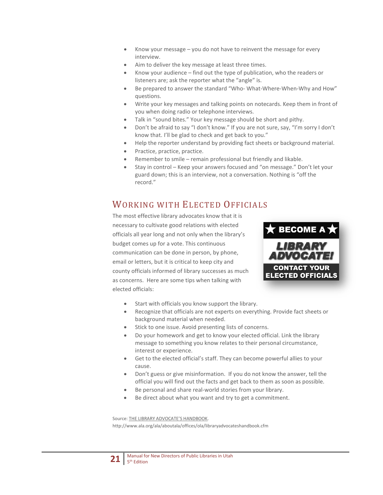- Know your message you do not have to reinvent the message for every interview.
- Aim to deliver the key message at least three times.
- Know your audience find out the type of publication, who the readers or listeners are; ask the reporter what the "angle" is.
- Be prepared to answer the standard "Who- What-Where-When-Why and How" questions.
- Write your key messages and talking points on notecards. Keep them in front of you when doing radio or telephone interviews.
- Talk in "sound bites." Your key message should be short and pithy.
- Don't be afraid to say "I don't know." If you are not sure, say, "I'm sorry I don't know that. I'll be glad to check and get back to you."
- Help the reporter understand by providing fact sheets or background material.
- Practice, practice, practice.
- Remember to smile remain professional but friendly and likable.
- Stay in control Keep your answers focused and "on message." Don't let your guard down; this is an interview, not a conversation. Nothing is "off the record."

## WORKING WITH ELECTED OFFICIALS

The most effective library advocates know that it is necessary to cultivate good relations with elected officials all year long and not only when the library's budget comes up for a vote. This continuous communication can be done in person, by phone, email or letters, but it is critical to keep city and county officials informed of library successes as much as concerns. Here are some tips when talking with elected officials:



- Start with officials you know support the library.
- Recognize that officials are not experts on everything. Provide fact sheets or background material when needed.
- Stick to one issue. Avoid presenting lists of concerns.
- Do your homework and get to know your elected official. Link the library message to something you know relates to their personal circumstance, interest or experience.
- Get to the elected official's staff. They can become powerful allies to your cause.
- Don't guess or give misinformation. If you do not know the answer, tell the official you will find out the facts and get back to them as soon as possible.
- Be personal and share real-world stories from your library.
- Be direct about what you want and try to get a commitment.

Source: THE LIBRARY ADVOCATE'S HANDBOOK.

http://www.ala.org/ala/aboutala/offices/ola/libraryadvocateshandbook.cfm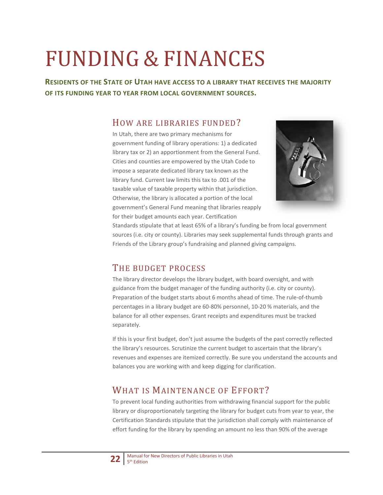# FUNDING & FINANCES

**RESIDENTS OF THE STATE OF UTAH HAVE ACCESS TO A LIBRARY THAT RECEIVES THE MAJORITY OF ITS FUNDING YEAR TO YEAR FROM LOCAL GOVERNMENT SOURCES.**

### HOW ARE LIBRARIES FUNDED?

In Utah, there are two primary mechanisms for government funding of library operations: 1) a dedicated library tax or 2) an apportionment from the General Fund. Cities and counties are empowered by the Utah Code to impose a separate dedicated library tax known as the library fund. Current law limits this tax to .001 of the taxable value of taxable property within that jurisdiction. Otherwise, the library is allocated a portion of the local government's General Fund meaning that libraries reapply for their budget amounts each year. Certification



Standards stipulate that at least 65% of a library's funding be from local government sources (i.e. city or county). Libraries may seek supplemental funds through grants and Friends of the Library group's fundraising and planned giving campaigns.

## THE BUDGET PROCESS

The library director develops the library budget, with board oversight, and with guidance from the budget manager of the funding authority (i.e. city or county). Preparation of the budget starts about 6 months ahead of time. The rule-of-thumb percentages in a library budget are 60-80% personnel, 10-20 % materials, and the balance for all other expenses. Grant receipts and expenditures must be tracked separately.

If this is your first budget, don't just assume the budgets of the past correctly reflected the library's resources. Scrutinize the current budget to ascertain that the library's revenues and expenses are itemized correctly. Be sure you understand the accounts and balances you are working with and keep digging for clarification.

## WHAT IS MAINTENANCE OF EFFORT?

To prevent local funding authorities from withdrawing financial support for the public library or disproportionately targeting the library for budget cuts from year to year, the Certification Standards stipulate that the jurisdiction shall comply with maintenance of effort funding for the library by spending an amount no less than 90% of the average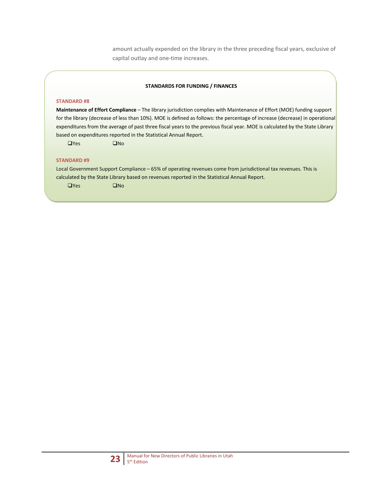amount actually expended on the library in the three preceding fiscal years, exclusive of capital outlay and one-time increases.

#### **STANDARDS FOR FUNDING / FINANCES**

#### **STANDARD #8**

**Maintenance of Effort Compliance** – The library jurisdiction complies with Maintenance of Effort (MOE) funding support for the library (decrease of less than 10%). MOE is defined as follows: the percentage of increase (decrease) in operational expenditures from the average of past three fiscal years to the previous fiscal year. MOE is calculated by the State Library based on expenditures reported in the Statistical Annual Report.

 $\Box$ Yes  $\Box$ No

#### **STANDARD #9**

Local Government Support Compliance – 65% of operating revenues come from jurisdictional tax revenues. This is calculated by the State Library based on revenues reported in the Statistical Annual Report.

 $\Box$ Yes  $\Box$ No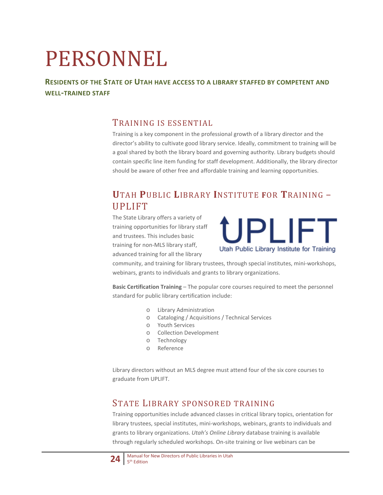# PERSONNEL

#### **RESIDENTS OF THE STATE OF UTAH HAVE ACCESS TO A LIBRARY STAFFED BY COMPETENT AND WELL-TRAINED STAFF**

### TRAINING IS ESSENTIAL

Training is a key component in the professional growth of a library director and the director's ability to cultivate good library service. Ideally, commitment to training will be a goal shared by both the library board and governing authority. Library budgets should contain specific line item funding for staff development. Additionally, the library director should be aware of other free and affordable training and learning opportunities.

## **U**TAH **P**UBLIC **L**IBRARY **I**NSTITUTE **F**OR **T**RAINING – UPLIFT

The State Library offers a variety of training opportunities for library staff and trustees. This includes basic training for non-MLS library staff, advanced training for all the library



community, and training for library trustees, through special institutes, mini-workshops, webinars, grants to individuals and grants to library organizations.

**Basic Certification Training** – The popular core courses required to meet the personnel standard for public library certification include:

- o Library Administration
- o Cataloging / Acquisitions / Technical Services
- o Youth Services
- o Collection Development
- o Technology
- o Reference

Library directors without an MLS degree must attend four of the six core courses to graduate from UPLIFT.

## STATE LIBRARY SPONSORED TRAINING

Training opportunities include advanced classes in critical library topics, orientation for library trustees, special institutes, mini-workshops, webinars, grants to individuals and grants to library organizations. *Utah's Online Library* database training is available through regularly scheduled workshops. On-site training or live webinars can be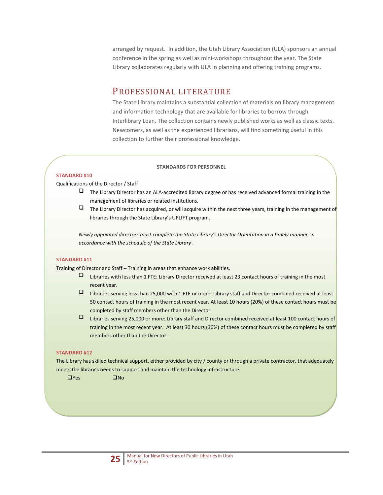arranged by request. In addition, the Utah Library Association (ULA) sponsors an annual conference in the spring as well as mini-workshops throughout the year. The State Library collaborates regularly with ULA in planning and offering training programs.

#### PROFESSIONAL LITERATURE

The State Library maintains a substantial collection of materials on library management and information technology that are available for libraries to borrow through Interlibrary Loan. The collection contains newly published works as well as classic texts. Newcomers, as well as the experienced librarians, will find something useful in this collection to further their professional knowledge.

#### **STANDARDS FOR PERSONNEL**

#### **STANDARD #10**

Qualifications of the Director / Staff

- The Library Director has an ALA-accredited library degree or has received advanced formal training in the management of libraries or related institutions.
- $\Box$  The Library Director has acquired, or will acquire within the next three years, training in the management of libraries through the State Library's UPLIFT program.

*Newly appointed directors must complete the State Library's Director Orientation in a timely manner, in accordance with the schedule of the State Library .*

#### **STANDARD #11**

Training of Director and Staff – Training in areas that enhance work abilities.

- Libraries with less than 1 FTE: Library Director received at least 23 contact hours of training in the most recent year.
- Libraries serving less than 25,000 with 1 FTE or more: Library staff and Director combined received at least 50 contact hours of training in the most recent year. At least 10 hours (20%) of these contact hours must be completed by staff members other than the Director.
- Libraries serving 25,000 or more: Library staff and Director combined received at least 100 contact hours of training in the most recent year. At least 30 hours (30%) of these contact hours must be completed by staff members other than the Director.

#### **STANDARD #12**

The Library has skilled technical support, either provided by city / county or through a private contractor, that adequately meets the library's needs to support and maintain the technology infrastructure.

 $\Box$ Yes  $\Box$ No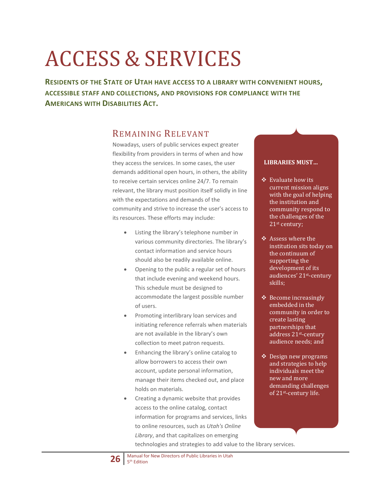# ACCESS & SERVICES

**RESIDENTS OF THE STATE OF UTAH HAVE ACCESS TO A LIBRARY WITH CONVENIENT HOURS, ACCESSIBLE STAFF AND COLLECTIONS, AND PROVISIONS FOR COMPLIANCE WITH THE AMERICANS WITH DISABILITIES ACT.**

#### REMAINING RELEVANT

Nowadays, users of public services expect greater flexibility from providers in terms of when and how they access the services. In some cases, the user demands additional open hours, in others, the ability to receive certain services online 24/7. To remain relevant, the library must position itself solidly in line with the expectations and demands of the community and strive to increase the user's access to its resources. These efforts may include:

- Listing the library's telephone number in various community directories. The library's contact information and service hours should also be readily available online.
- Opening to the public a regular set of hours that include evening and weekend hours. This schedule must be designed to accommodate the largest possible number of users.
- Promoting interlibrary loan services and initiating reference referrals when materials are not available in the library's own collection to meet patron requests.
- Enhancing the library's online catalog to allow borrowers to access their own account, update personal information, manage their items checked out, and place holds on materials.
- Creating a dynamic website that provides access to the online catalog, contact information for programs and services, links to online resources, such as *Utah's Online Library*, and that capitalizes on emerging technologies and strategies to add value to the library services.

#### **LIBRARIES MUST…**

- $\div$  Evaluate how its current mission aligns with the goal of helping the institution and community respond to the challenges of the 21st century;
- ❖ Assess where the institution sits today on the continuum of supporting the development of its audiences' 21st-century skills;
- $\triangle$  Become increasingly embedded in the community in order to create lasting partnerships that address 21st-century audience needs; and
- Design new programs and strategies to help individuals meet the new and more demanding challenges of 21st-century life.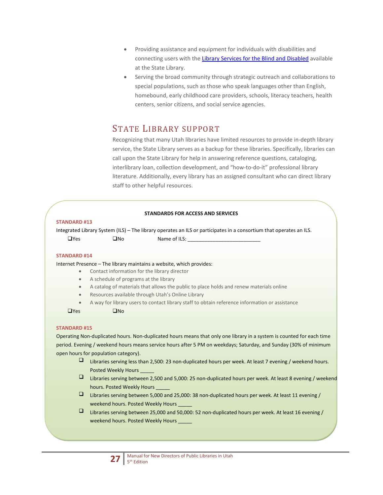- Providing assistance and equipment for individuals with disabilities and connecting users with the [Library Services for the Blind and Disabled](http://blindlibrary.utah.gov/) available at the State Library.
- Serving the broad community through strategic outreach and collaborations to special populations, such as those who speak languages other than English, homebound, early childhood care providers, schools, literacy teachers, health centers, senior citizens, and social service agencies.

## STATE LIBRARY SUPPORT

Recognizing that many Utah libraries have limited resources to provide in-depth library service, the State Library serves as a backup for these libraries. Specifically, libraries can call upon the State Library for help in answering reference questions, cataloging, interlibrary loan, collection development, and "how-to-do-it" professional library literature. Additionally, every library has an assigned consultant who can direct library staff to other helpful resources.

#### **STANDARDS FOR ACCESS AND SERVICES**

#### **STANDARD #13**

Integrated Library System (ILS) – The library operates an ILS or participates in a consortium that operates an ILS.  $\Box$ Yes  $\Box$ No Name of ILS:

#### **STANDARD #14**

Internet Presence – The library maintains a website, which provides:

- Contact information for the library director
- A schedule of programs at the library
- A catalog of materials that allows the public to place holds and renew materials online
- Resources available through Utah's Online Library
- A way for library users to contact library staff to obtain reference information or assistance

 $\Box$ Yes  $\Box$ No

#### **STANDARD #15**

Operating Non-duplicated hours. Non-duplicated hours means that only one library in a system is counted for each time period. Evening / weekend hours means service hours after 5 PM on weekdays; Saturday, and Sunday (30% of minimum open hours for population category).

- Libraries serving less than 2,500: 23 non-duplicated hours per week. At least 7 evening / weekend hours. Posted Weekly Hours
- Libraries serving between 2,500 and 5,000: 25 non-duplicated hours per week. At least 8 evening / weekend hours. Posted Weekly Hours
- Libraries serving between 5,000 and 25,000: 38 non-duplicated hours per week. At least 11 evening / weekend hours. Posted Weekly Hours
- Libraries serving between 25,000 and 50,000: 52 non-duplicated hours per week. At least 16 evening / weekend hours. Posted Weekly Hours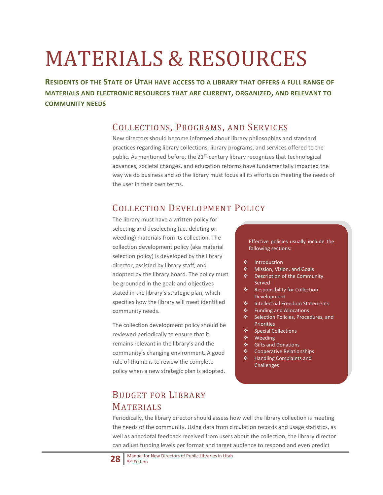# MATERIALS & RESOURCES

**RESIDENTS OF THE STATE OF UTAH HAVE ACCESS TO A LIBRARY THAT OFFERS A FULL RANGE OF MATERIALS AND ELECTRONIC RESOURCES THAT ARE CURRENT, ORGANIZED, AND RELEVANT TO COMMUNITY NEEDS**

### COLLECTIONS, PROGRAMS, AND SERVICES

New directors should become informed about library philosophies and standard practices regarding library collections, library programs, and services offered to the public. As mentioned before, the  $21<sup>st</sup>$ -century library recognizes that technological advances, societal changes, and education reforms have fundamentally impacted the way we do business and so the library must focus all its efforts on meeting the needs of the user in their own terms.

## COLLECTION DEVELOPMENT POLICY

The library must have a written policy for selecting and deselecting (i.e. deleting or weeding) materials from its collection. The collection development policy (aka material selection policy) is developed by the library director, assisted by library staff, and adopted by the library board. The policy must be grounded in the goals and objectives stated in the library's strategic plan, which specifies how the library will meet identified community needs.

The collection development policy should be reviewed periodically to ensure that it remains relevant in the library's and the community's changing environment. A good rule of thumb is to review the complete policy when a new strategic plan is adopted.

## BUDGET FOR LIBRARY MATERIALS

Effective policies usually include the following sections:

- ❖ Introduction
- Mission, Vision, and Goals
- **❖** Description of the Community Served
- ❖ Responsibility for Collection Development
- ❖ Intellectual Freedom Statements
- ❖ Funding and Allocations
- ❖ Selection Policies, Procedures, and Priorities
- Special Collections
- ❖ Weeding
- Gifts and Donations
- Cooperative Relationships
- Handling Complaints and **Challenges**

Periodically, the library director should assess how well the library collection is meeting the needs of the community. Using data from circulation records and usage statistics, as well as anecdotal feedback received from users about the collection, the library director can adjust funding levels per format and target audience to respond and even predict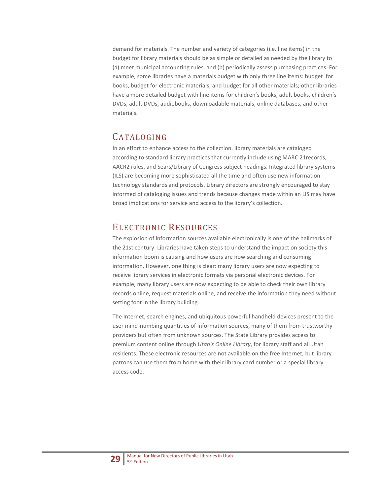demand for materials. The number and variety of categories (i.e. line items) in the budget for library materials should be as simple or detailed as needed by the library to (a) meet municipal accounting rules, and (b) periodically assess purchasing practices. For example, some libraries have a materials budget with only three line items: budget for books, budget for electronic materials, and budget for all other materials; other libraries have a more detailed budget with line items for children's books, adult books, children's DVDs, adult DVDs, audiobooks, downloadable materials, online databases, and other materials.

## CATALOGING

In an effort to enhance access to the collection, library materials are cataloged according to standard library practices that currently include using MARC 21records, AACR2 rules, and Sears/Library of Congress subject headings. Integrated library systems (ILS) are becoming more sophisticated all the time and often use new information technology standards and protocols. Library directors are strongly encouraged to stay informed of cataloging issues and trends because changes made within an LIS may have broad implications for service and access to the library's collection.

## ELECTRONIC RESOURCES

The explosion of information sources available electronically is one of the hallmarks of the 21st century. Libraries have taken steps to understand the impact on society this information boom is causing and how users are now searching and consuming information. However, one thing is clear: many library users are now expecting to receive library services in electronic formats via personal electronic devices. For example, many library users are now expecting to be able to check their own library records online, request materials online, and receive the information they need without setting foot in the library building.

The Internet, search engines, and ubiquitous powerful handheld devices present to the user mind-numbing quantities of information sources, many of them from trustworthy providers but often from unknown sources. The State Library provides access to premium content online through *Utah's Online Library*, for library staff and all Utah residents. These electronic resources are not available on the free Internet, but library patrons can use them from home with their library card number or a special library access code.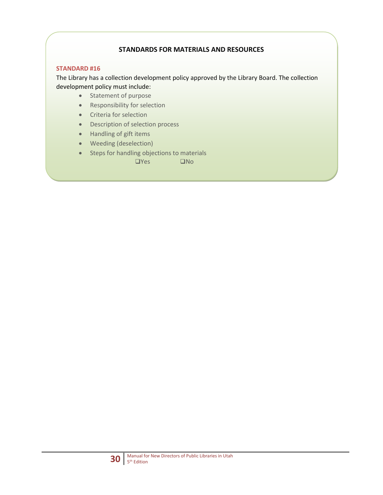#### **STANDARDS FOR MATERIALS AND RESOURCES**

#### **STANDARD #16**

The Library has a collection development policy approved by the Library Board. The collection development policy must include:

- Statement of purpose
- Responsibility for selection
- Criteria for selection
- Description of selection process
- Handling of gift items
- Weeding (deselection)
- Steps for handling objections to materials

 $\Box$ Yes  $\Box$ No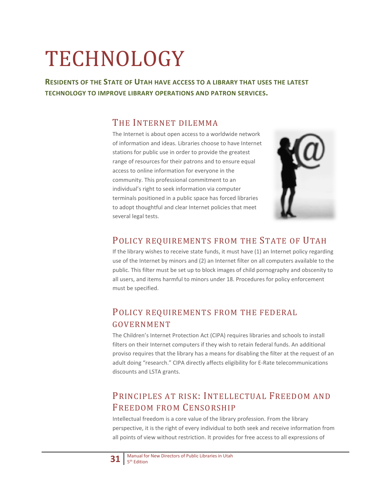# TECHNOLOGY

**RESIDENTS OF THE STATE OF UTAH HAVE ACCESS TO A LIBRARY THAT USES THE LATEST TECHNOLOGY TO IMPROVE LIBRARY OPERATIONS AND PATRON SERVICES.**

### THE INTERNET DILEMMA

The Internet is about open access to a worldwide network of information and ideas. Libraries choose to have Internet stations for public use in order to provide the greatest range of resources for their patrons and to ensure equal access to online information for everyone in the community. This professional commitment to an individual's right to seek information via computer terminals positioned in a public space has forced libraries to adopt thoughtful and clear Internet policies that meet several legal tests.



#### POLICY REQUIREMENTS FROM THE STATE OF UTAH

If the library wishes to receive state funds, it must have (1) an Internet policy regarding use of the Internet by minors and (2) an Internet filter on all computers available to the public. This filter must be set up to block images of child pornography and obscenity to all users, and items harmful to minors under 18. Procedures for policy enforcement must be specified.

## POLICY REQUIREMENTS FROM THE FEDERAL GOVERNMENT

The Children's Internet Protection Act (CIPA) requires libraries and schools to install filters on their Internet computers if they wish to retain federal funds. An additional proviso requires that the library has a means for disabling the filter at the request of an adult doing "research." CIPA directly affects eligibility for E-Rate telecommunications discounts and LSTA grants.

## PRINCIPLES AT RISK: INTELLECTUAL FREEDOM AND FREEDOM FROM CENSORSHIP

Intellectual freedom is a core value of the library profession. From the library perspective, it is the right of every individual to both seek and receive information from all points of view without restriction. It provides for free access to all expressions of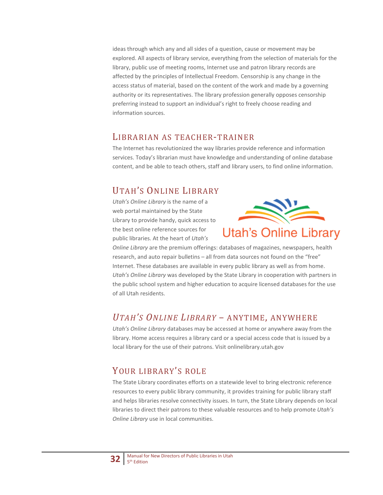ideas through which any and all sides of a question, cause or movement may be explored. All aspects of library service, everything from the selection of materials for the library, public use of meeting rooms, Internet use and patron library records are affected by the principles of Intellectual Freedom. Censorship is any change in the access status of material, based on the content of the work and made by a governing authority or its representatives. The library profession generally opposes censorship preferring instead to support an individual's right to freely choose reading and information sources.

#### LIBRARIAN AS TEACHER-TRAINER

The Internet has revolutionized the way libraries provide reference and information services. Today's librarian must have knowledge and understanding of online database content, and be able to teach others, staff and library users, to find online information.

## UTAH'S ONLINE LIBRARY

*Utah's Online Library* is the name of a web portal maintained by the State Library to provide handy, quick access to the best online reference sources for public libraries. At the heart of *Utah's* 



*Online Library* are the premium offerings: databases of magazines, newspapers, health research, and auto repair bulletins – all from data sources not found on the "free" Internet. These databases are available in every public library as well as from home. *Utah's Online Library* was developed by the State Library in cooperation with partners in the public school system and higher education to acquire licensed databases for the use of all Utah residents.

## *UTAH'S ONLINE LIBRARY* – ANYTIME, ANYWHERE

*Utah's Online Library* databases may be accessed at home or anywhere away from the library. Home access requires a library card or a special access code that is issued by a local library for the use of their patrons. Visit onlinelibrary.utah.gov

## YOUR LIBRARY'S ROLE

The State Library coordinates efforts on a statewide level to bring electronic reference resources to every public library community, it provides training for public library staff and helps libraries resolve connectivity issues. In turn, the State Library depends on local libraries to direct their patrons to these valuable resources and to help promote *Utah's Online Library* use in local communities.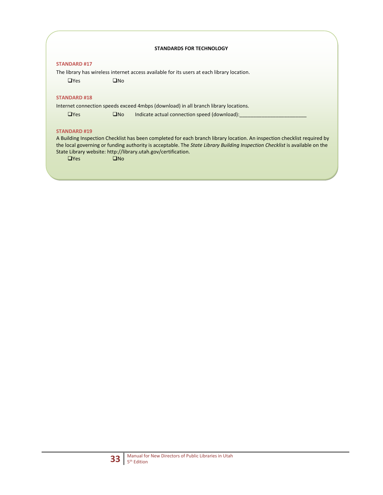#### **STANDARDS FOR TECHNOLOGY**

#### **STANDARD #17**

The library has wireless internet access available for its users at each library location.

 $\Box$ Yes  $\Box$ No

#### **STANDARD #18**

Internet connection speeds exceed 4mbps (download) in all branch library locations.

 $\Box$ Yes  $\Box$ No Indicate actual connection speed (download):

#### **STANDARD #19**

A Building Inspection Checklist has been completed for each branch library location. An inspection checklist required by the local governing or funding authority is acceptable. The *State Library Building Inspection Checklist* is available on the State Library website: http://library.utah.gov/certification.

 $\Box$ Yes  $\Box$ No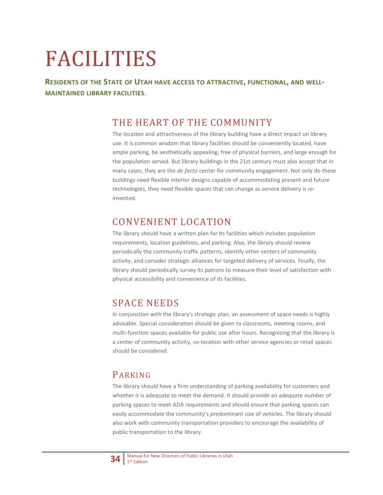# FACILITIES

**RESIDENTS OF THE STATE OF UTAH HAVE ACCESS TO ATTRACTIVE, FUNCTIONAL, AND WELL-MAINTAINED LIBRARY FACILITIES**.

## THE HEART OF THE COMMUNITY

The location and attractiveness of the library building have a direct impact on library use. It is common wisdom that library facilities should be conveniently located, have ample parking, be aesthetically appealing, free of physical barriers, and large enough for the population served. But library buildings in the 21st century must also accept that in many cases, they are the *de facto* center for community engagement. Not only do these buildings need flexible interior designs capable of accommodating present and future technologies, they need flexible spaces that can change as service delivery is reinvented.

## CONVENIENT LOCATION

The library should have a written plan for its facilities which includes population requirements, location guidelines, and parking. Also, the library should review periodically the community traffic patterns, identify other centers of community activity, and consider strategic alliances for targeted delivery of services. Finally, the library should periodically survey its patrons to measure their level of satisfaction with physical accessibility and convenience of its facilities.

## SPACE NEEDS

In conjunction with the library's strategic plan, an assessment of space needs is highly advisable. Special consideration should be given to classrooms, meeting rooms, and multi-function spaces available for public use after hours. Recognizing that the library is a center of community activity, co-location with other service agencies or retail spaces should be considered.

## PARKING

The library should have a firm understanding of parking availability for customers and whether it is adequate to meet the demand. It should provide an adequate number of parking spaces to meet ADA requirements and should ensure that parking spaces can easily accommodate the community's predominant size of vehicles. The library should also work with community transportation providers to encourage the availability of public transportation to the library.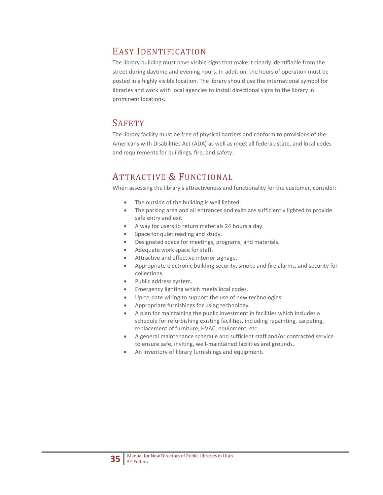## EASY IDENTIFICATION

The library building must have visible signs that make it clearly identifiable from the street during daytime and evening hours. In addition, the hours of operation must be posted in a highly visible location. The library should use the international symbol for libraries and work with local agencies to install directional signs to the library in prominent locations.

## **SAFETY**

The library facility must be free of physical barriers and conform to provisions of the Americans with Disabilities Act (ADA) as well as meet all federal, state, and local codes and requirements for buildings, fire, and safety.

## ATTRACTIVE & FUNCTIONAL

When assessing the library's attractiveness and functionality for the customer, consider:

- The outside of the building is well lighted.
- The parking area and all entrances and exits are sufficiently lighted to provide safe entry and exit.
- A way for users to return materials 24 hours a day.
- Space for quiet reading and study.
- Designated space for meetings, programs, and materials.
- Adequate work space for staff.
- Attractive and effective interior signage.
- Appropriate electronic building security, smoke and fire alarms, and security for collections.
- Public address system.
- Emergency lighting which meets local codes.
- Up-to-date wiring to support the use of new technologies.
- Appropriate furnishings for using technology.
- A plan for maintaining the public investment in facilities which includes a schedule for refurbishing existing facilities, including repainting, carpeting, replacement of furniture, HVAC, equipment, etc.
- A general maintenance schedule and sufficient staff and/or contracted service to ensure safe, inviting, well-maintained facilities and grounds.
- An inventory of library furnishings and equipment.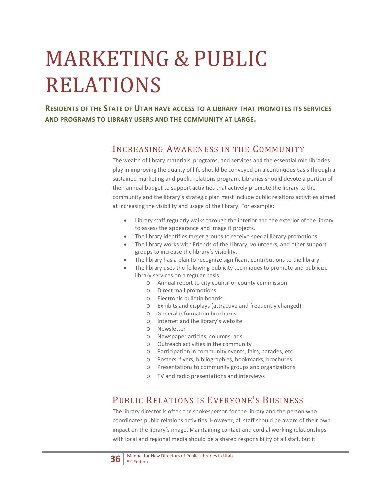# MARKETING & PUBLIC RELATIONS

**RESIDENTS OF THE STATE OF UTAH HAVE ACCESS TO A LIBRARY THAT PROMOTES ITS SERVICES AND PROGRAMS TO LIBRARY USERS AND THE COMMUNITY AT LARGE.**

#### INCREASING AWARENESS IN THE COMMUNITY

The wealth of library materials, programs, and services and the essential role libraries play in improving the quality of life should be conveyed on a continuous basis through a sustained marketing and public relations program. Libraries should devote a portion of their annual budget to support activities that actively promote the library to the community and the library's strategic plan must include public relations activities aimed at increasing the visibility and usage of the library. For example:

- Library staff regularly walks through the interior and the exterior of the library to assess the appearance and image it projects.
- The library identifies target groups to receive special library promotions.
- The library works with Friends of the Library, volunteers, and other support groups to increase the library's visibility.
- The library has a plan to recognize significant contributions to the library.
- The library uses the following publicity techniques to promote and publicize library services on a regular basis:
	- o Annual report to city council or county commission
	- o Direct mail promotions
	- o Electronic bulletin boards
	- o Exhibits and displays (attractive and frequently changed)
	- o General information brochures
	- o Internet and the library's website
	- o Newsletter
	- o Newspaper articles, columns, ads
	- o Outreach activities in the community
	- o Participation in community events, fairs, parades, etc.
	- o Posters, flyers, bibliographies, bookmarks, brochures
	- o Presentations to community groups and organizations
	- o TV and radio presentations and interviews

## PUBLIC RELATIONS IS EVERYONE'S BUSINESS

The library director is often the spokesperson for the library and the person who coordinates public relations activities. However, all staff should be aware of their own impact on the library's image. Maintaining contact and cordial working relationships with local and regional media should be a shared responsibility of all staff, but it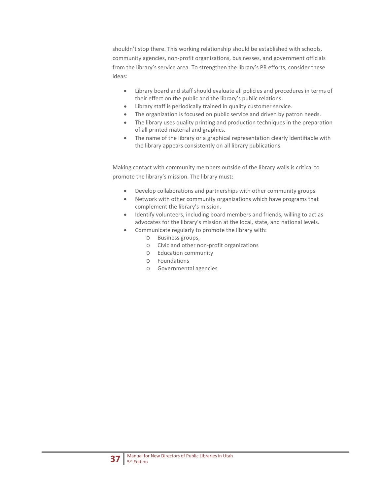shouldn't stop there. This working relationship should be established with schools, community agencies, non-profit organizations, businesses, and government officials from the library's service area. To strengthen the library's PR efforts, consider these ideas:

- Library board and staff should evaluate all policies and procedures in terms of their effect on the public and the library's public relations.
- Library staff is periodically trained in quality customer service.
- The organization is focused on public service and driven by patron needs.
- The library uses quality printing and production techniques in the preparation of all printed material and graphics.
- The name of the library or a graphical representation clearly identifiable with the library appears consistently on all library publications.

Making contact with community members outside of the library walls is critical to promote the library's mission. The library must:

- Develop collaborations and partnerships with other community groups.
- Network with other community organizations which have programs that complement the library's mission.
- Identify volunteers, including board members and friends, willing to act as advocates for the library's mission at the local, state, and national levels.
- Communicate regularly to promote the library with:
	- o Business groups,
	- o Civic and other non-profit organizations
	- o Education community
	- o Foundations
	- o Governmental agencies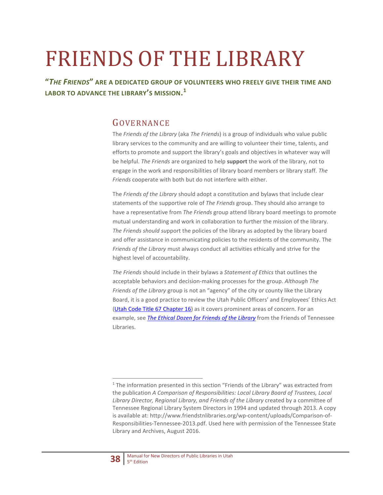# FRIENDS OF THE LIBRARY

**"***THE FRIENDS***" ARE A DEDICATED GROUP OF VOLUNTEERS WHO FREELY GIVE THEIR TIME AND LABOR TO ADVANCE THE LIBRARY'S MISSION. [1](#page-37-0)**

### GOVERNANCE

The *Friends of the Library* (aka *The Friends*) is a group of individuals who value public library services to the community and are willing to volunteer their time, talents, and efforts to promote and support the library's goals and objectives in whatever way will be helpful. *The Friends* are organized to help **support** the work of the library, not to engage in the work and responsibilities of library board members or library staff. *The Friends* cooperate with both but do not interfere with either.

The *Friends of the Library* should adopt a constitution and bylaws that include clear statements of the supportive role of *The Friends* group. They should also arrange to have a representative from *The Friends* group attend library board meetings to promote mutual understanding and work in collaboration to further the mission of the library. *The Friends should su*pport the policies of the library as adopted by the library board and offer assistance in communicating policies to the residents of the community. The *Friends of the Library* must always conduct all activities ethically and strive for the highest level of accountability.

*The Friends* should include in their bylaws a *Statement of Ethics* that outlines the acceptable behaviors and decision-making processes for the group. *Although The Friends of the Library* group is not an "agency" of the city or county like the Library Board, it is a good practice to review the Utah Public Officers' and Employees' Ethics Act [\(Utah Code Title 67 Chapter 16\)](https://le.utah.gov/xcode/Title67/Chapter16/67-16.html?v=C67-16_1800010118000101) as it covers prominent areas of concern. For an example, see *[The Ethical Dozen for Friends of the Library](http://www.friendstnlibraries.org/wp-content/uploads/FOTL-Ethical-Dozen-for-Friends-of-the-Library-18Sept2015.pdf)* from the Friends of Tennessee Libraries.

<span id="page-37-0"></span><sup>&</sup>lt;sup>1</sup> The information presented in this section "Friends of the Library" was extracted from the publication *A Comparison of Responsibilities: Local Library Board of Trustees, Local Library Director, Regional Library, and Friends of the Library* created by a committee of Tennessee Regional Library System Directors in 1994 and updated through 2013. A copy is available at: http://www.friendstnlibraries.org/wp-content/uploads/Comparison-of-Responsibilities-Tennessee-2013.pdf. Used here with permission of the Tennessee State Library and Archives, August 2016.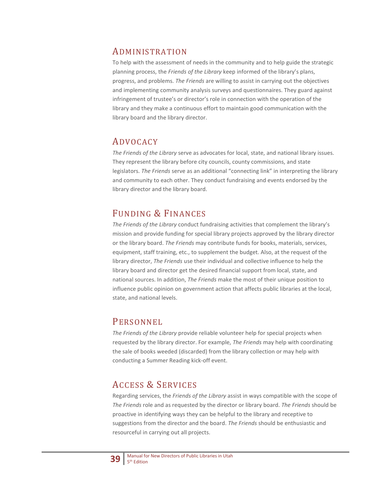#### ADMINISTRATION

To help with the assessment of needs in the community and to help guide the strategic planning process, the *Friends of the Library* keep informed of the library's plans, progress, and problems. *The Friends* are willing to assist in carrying out the objectives and implementing community analysis surveys and questionnaires. They guard against infringement of trustee's or director's role in connection with the operation of the library and they make a continuous effort to maintain good communication with the library board and the library director.

## ADVOCACY

*The Friends of the Library* serve as advocates for local, state, and national library issues. They represent the library before city councils, county commissions, and state legislators. *The Friends* serve as an additional "connecting link" in interpreting the library and community to each other. They conduct fundraising and events endorsed by the library director and the library board.

## FUNDING & FINANCES

*The Friends of the Library* conduct fundraising activities that complement the library's mission and provide funding for special library projects approved by the library director or the library board. *The Friends* may contribute funds for books, materials, services, equipment, staff training, etc., to supplement the budget. Also, at the request of the library director, *The Friends* use their individual and collective influence to help the library board and director get the desired financial support from local, state, and national sources. In addition, *The Friends* make the most of their unique position to influence public opinion on government action that affects public libraries at the local, state, and national levels.

### PERSONNEL

*The Friends of the Library* provide reliable volunteer help for special projects when requested by the library director. For example, *The Friends* may help with coordinating the sale of books weeded (discarded) from the library collection or may help with conducting a Summer Reading kick-off event.

## ACCESS & SERVICES

Regarding services, the *Friends of the Library* assist in ways compatible with the scope of *The Friends* role and as requested by the director or library board. *The Friends* should be proactive in identifying ways they can be helpful to the library and receptive to suggestions from the director and the board. *The Friends* should be enthusiastic and resourceful in carrying out all projects.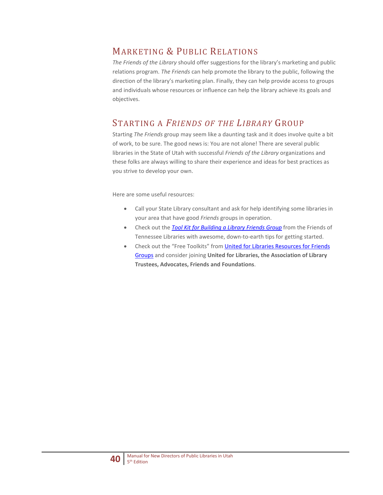## MARKETING & PUBLIC RELATIONS

*The Friends of the Library* should offer suggestions for the library's marketing and public relations program. *The Friends* can help promote the library to the public, following the direction of the library's marketing plan. Finally, they can help provide access to groups and individuals whose resources or influence can help the library achieve its goals and objectives.

## STARTING A *FRIENDS OF THE LIBRARY* GROUP

Starting *The Friends* group may seem like a daunting task and it does involve quite a bit of work, to be sure. The good news is: You are not alone! There are several public libraries in the State of Utah with successful *Friends of the Library* organizations and these folks are always willing to share their experience and ideas for best practices as you strive to develop your own.

Here are some useful resources:

- Call your State Library consultant and ask for help identifying some libraries in your area that have good *Friends* groups in operation.
- Check out the *[Tool Kit for Building a Library Friends Group](http://www.friendstnlibraries.org/wp-content/uploads/Final-Sept2015FOTL-TOOL-KIT-for-Building-a-Library-Friends-Group-REV-Sept2015.pdf)* from the Friends of Tennessee Libraries with awesome, down-to-earth tips for getting started.
- Check out the "Free Toolkits" fro[m United for Libraries Resources for Friends](http://www.ala.org/united/friends)  [Groups](http://www.ala.org/united/friends) and consider joining **United for Libraries, the Association of Library Trustees, Advocates, Friends and Foundations**.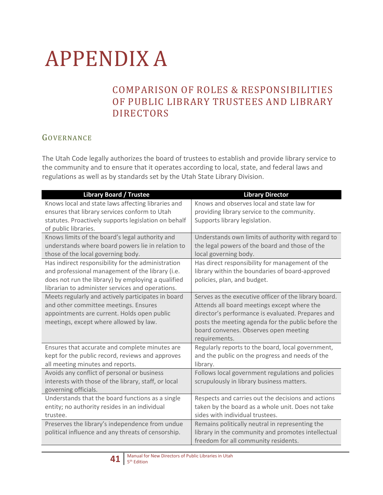# APPENDIX A

## COMPARISON OF ROLES & RESPONSIBILITIES OF PUBLIC LIBRARY TRUSTEES AND LIBRARY DIRECTORS

#### GOVERNANCE

The Utah Code legally authorizes the board of trustees to establish and provide library service to the community and to ensure that it operates according to local, state, and federal laws and regulations as well as by standards set by the Utah State Library Division.

| <b>Library Board / Trustee</b>                       | <b>Library Director</b>                               |
|------------------------------------------------------|-------------------------------------------------------|
| Knows local and state laws affecting libraries and   | Knows and observes local and state law for            |
| ensures that library services conform to Utah        | providing library service to the community.           |
| statutes. Proactively supports legislation on behalf | Supports library legislation.                         |
| of public libraries.                                 |                                                       |
| Knows limits of the board's legal authority and      | Understands own limits of authority with regard to    |
| understands where board powers lie in relation to    | the legal powers of the board and those of the        |
| those of the local governing body.                   | local governing body.                                 |
| Has indirect responsibility for the administration   | Has direct responsibility for management of the       |
| and professional management of the library (i.e.     | library within the boundaries of board-approved       |
| does not run the library) by employing a qualified   | policies, plan, and budget.                           |
| librarian to administer services and operations.     |                                                       |
| Meets regularly and actively participates in board   | Serves as the executive officer of the library board. |
| and other committee meetings. Ensures                | Attends all board meetings except where the           |
| appointments are current. Holds open public          | director's performance is evaluated. Prepares and     |
| meetings, except where allowed by law.               | posts the meeting agenda for the public before the    |
|                                                      | board convenes. Observes open meeting                 |
|                                                      | requirements.                                         |
| Ensures that accurate and complete minutes are       | Regularly reports to the board, local government,     |
| kept for the public record, reviews and approves     | and the public on the progress and needs of the       |
| all meeting minutes and reports.                     | library.                                              |
| Avoids any conflict of personal or business          | Follows local government regulations and policies     |
| interests with those of the library, staff, or local | scrupulously in library business matters.             |
| governing officials.                                 |                                                       |
| Understands that the board functions as a single     | Respects and carries out the decisions and actions    |
| entity; no authority resides in an individual        | taken by the board as a whole unit. Does not take     |
| trustee.                                             | sides with individual trustees.                       |
| Preserves the library's independence from undue      | Remains politically neutral in representing the       |
| political influence and any threats of censorship.   | library in the community and promotes intellectual    |
|                                                      | freedom for all community residents.                  |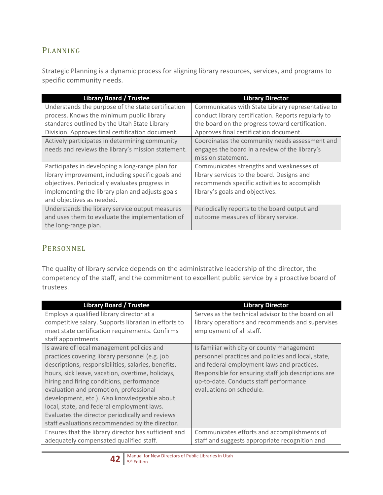### PLANNING

Strategic Planning is a dynamic process for aligning library resources, services, and programs to specific community needs.

| <b>Library Board / Trustee</b>                     | <b>Library Director</b>                             |
|----------------------------------------------------|-----------------------------------------------------|
| Understands the purpose of the state certification | Communicates with State Library representative to   |
| process. Knows the minimum public library          | conduct library certification. Reports regularly to |
| standards outlined by the Utah State Library       | the board on the progress toward certification.     |
| Division. Approves final certification document.   | Approves final certification document.              |
| Actively participates in determining community     | Coordinates the community needs assessment and      |
| needs and reviews the library's mission statement. | engages the board in a review of the library's      |
|                                                    | mission statement.                                  |
| Participates in developing a long-range plan for   | Communicates strengths and weaknesses of            |
| library improvement, including specific goals and  | library services to the board. Designs and          |
| objectives. Periodically evaluates progress in     | recommends specific activities to accomplish        |
| implementing the library plan and adjusts goals    | library's goals and objectives.                     |
| and objectives as needed.                          |                                                     |
| Understands the library service output measures    | Periodically reports to the board output and        |
| and uses them to evaluate the implementation of    | outcome measures of library service.                |
| the long-range plan.                               |                                                     |

### PERSONNEL

The quality of library service depends on the administrative leadership of the director, the competency of the staff, and the commitment to excellent public service by a proactive board of trustees.

| <b>Library Board / Trustee</b>                       | <b>Library Director</b>                             |
|------------------------------------------------------|-----------------------------------------------------|
| Employs a qualified library director at a            | Serves as the technical advisor to the board on all |
| competitive salary. Supports librarian in efforts to | library operations and recommends and supervises    |
| meet state certification requirements. Confirms      | employment of all staff.                            |
| staff appointments.                                  |                                                     |
| Is aware of local management policies and            | Is familiar with city or county management          |
| practices covering library personnel (e.g. job       | personnel practices and policies and local, state,  |
| descriptions, responsibilities, salaries, benefits,  | and federal employment laws and practices.          |
| hours, sick leave, vacation, overtime, holidays,     | Responsible for ensuring staff job descriptions are |
| hiring and firing conditions, performance            | up-to-date. Conducts staff performance              |
| evaluation and promotion, professional               | evaluations on schedule.                            |
| development, etc.). Also knowledgeable about         |                                                     |
| local, state, and federal employment laws.           |                                                     |
| Evaluates the director periodically and reviews      |                                                     |
| staff evaluations recommended by the director.       |                                                     |
| Ensures that the library director has sufficient and | Communicates efforts and accomplishments of         |
| adequately compensated qualified staff.              | staff and suggests appropriate recognition and      |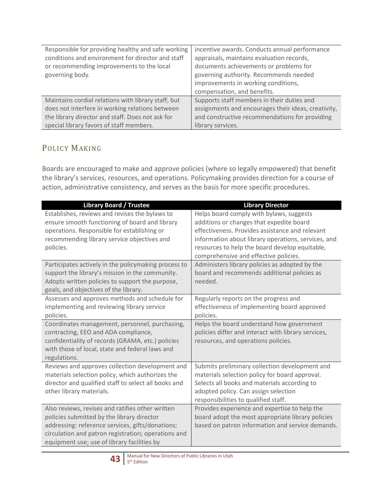| Responsible for providing healthy and safe working  | incentive awards. Conducts annual performance       |
|-----------------------------------------------------|-----------------------------------------------------|
| conditions and environment for director and staff   | appraisals, maintains evaluation records,           |
| or recommending improvements to the local           | documents achievements or problems for              |
| governing body.                                     | governing authority. Recommends needed              |
|                                                     | improvements in working conditions,                 |
|                                                     | compensation, and benefits.                         |
| Maintains cordial relations with library staff, but | Supports staff members in their duties and          |
| does not interfere in working relations between     | assignments and encourages their ideas, creativity, |
| the library director and staff. Does not ask for    | and constructive recommendations for providing      |
| special library favors of staff members.            | library services.                                   |

### POLICY MAKING

Boards are encouraged to make and approve policies (where so legally empowered) that benefit the library's services, resources, and operations. Policymaking provides direction for a course of action, administrative consistency, and serves as the basis for more specific procedures.

| <b>Library Board / Trustee</b>                                                                                                                                                                                                                                      | <b>Library Director</b>                                                                                                                                                                                                                                                                                                                     |
|---------------------------------------------------------------------------------------------------------------------------------------------------------------------------------------------------------------------------------------------------------------------|---------------------------------------------------------------------------------------------------------------------------------------------------------------------------------------------------------------------------------------------------------------------------------------------------------------------------------------------|
| Establishes, reviews and revises the bylaws to<br>ensure smooth functioning of board and library<br>operations. Responsible for establishing or<br>recommending library service objectives and<br>policies.<br>Participates actively in the policymaking process to | Helps board comply with bylaws, suggests<br>additions or changes that expedite board<br>effectiveness. Provides assistance and relevant<br>information about library operations, services, and<br>resources to help the board develop equitable,<br>comprehensive and effective policies.<br>Administers library policies as adopted by the |
| support the library's mission in the community.<br>Adopts written policies to support the purpose,<br>goals, and objectives of the library.                                                                                                                         | board and recommends additional policies as<br>needed.                                                                                                                                                                                                                                                                                      |
| Assesses and approves methods and schedule for<br>implementing and reviewing library service<br>policies.                                                                                                                                                           | Regularly reports on the progress and<br>effectiveness of implementing board approved<br>policies.                                                                                                                                                                                                                                          |
| Coordinates management, personnel, purchasing,<br>contracting, EEO and ADA compliance,<br>confidentiality of records (GRAMA, etc.) policies<br>with those of local, state and federal laws and<br>regulations.                                                      | Helps the board understand how government<br>policies differ and interact with library services,<br>resources, and operations policies.                                                                                                                                                                                                     |
| Reviews and approves collection development and<br>materials selection policy, which authorizes the<br>director and qualified staff to select all books and<br>other library materials.                                                                             | Submits preliminary collection development and<br>materials selection policy for board approval.<br>Selects all books and materials according to<br>adopted policy. Can assign selection<br>responsibilities to qualified staff.                                                                                                            |
| Also reviews, revises and ratifies other written<br>policies submitted by the library director<br>addressing: reference services, gifts/donations;<br>circulation and patron registration; operations and<br>equipment use; use of library facilities by            | Provides experience and expertise to help the<br>board adopt the most appropriate library policies<br>based on patron information and service demands.                                                                                                                                                                                      |

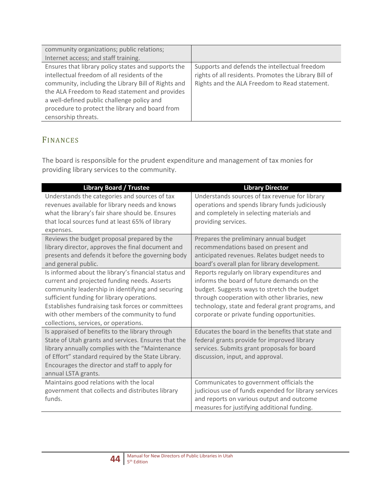| community organizations; public relations;          |                                                       |
|-----------------------------------------------------|-------------------------------------------------------|
| Internet access; and staff training.                |                                                       |
| Ensures that library policy states and supports the | Supports and defends the intellectual freedom         |
| intellectual freedom of all residents of the        | rights of all residents. Promotes the Library Bill of |
| community, including the Library Bill of Rights and | Rights and the ALA Freedom to Read statement.         |
| the ALA Freedom to Read statement and provides      |                                                       |
| a well-defined public challenge policy and          |                                                       |
| procedure to protect the library and board from     |                                                       |
| censorship threats.                                 |                                                       |

## FINANCES

The board is responsible for the prudent expenditure and management of tax monies for providing library services to the community.

| <b>Library Board / Trustee</b>                       | <b>Library Director</b>                              |
|------------------------------------------------------|------------------------------------------------------|
| Understands the categories and sources of tax        | Understands sources of tax revenue for library       |
| revenues available for library needs and knows       | operations and spends library funds judiciously      |
| what the library's fair share should be. Ensures     | and completely in selecting materials and            |
| that local sources fund at least 65% of library      | providing services.                                  |
| expenses.                                            |                                                      |
| Reviews the budget proposal prepared by the          | Prepares the preliminary annual budget               |
| library director, approves the final document and    | recommendations based on present and                 |
| presents and defends it before the governing body    | anticipated revenues. Relates budget needs to        |
| and general public.                                  | board's overall plan for library development.        |
| Is informed about the library's financial status and | Reports regularly on library expenditures and        |
| current and projected funding needs. Asserts         | informs the board of future demands on the           |
| community leadership in identifying and securing     | budget. Suggests ways to stretch the budget          |
| sufficient funding for library operations.           | through cooperation with other libraries, new        |
| Establishes fundraising task forces or committees    | technology, state and federal grant programs, and    |
| with other members of the community to fund          | corporate or private funding opportunities.          |
| collections, services, or operations.                |                                                      |
| Is appraised of benefits to the library through      | Educates the board in the benefits that state and    |
| State of Utah grants and services. Ensures that the  | federal grants provide for improved library          |
| library annually complies with the "Maintenance      | services. Submits grant proposals for board          |
| of Effort" standard required by the State Library.   | discussion, input, and approval.                     |
| Encourages the director and staff to apply for       |                                                      |
| annual LSTA grants.                                  |                                                      |
| Maintains good relations with the local              | Communicates to government officials the             |
| government that collects and distributes library     | judicious use of funds expended for library services |
| funds.                                               | and reports on various output and outcome            |
|                                                      | measures for justifying additional funding.          |

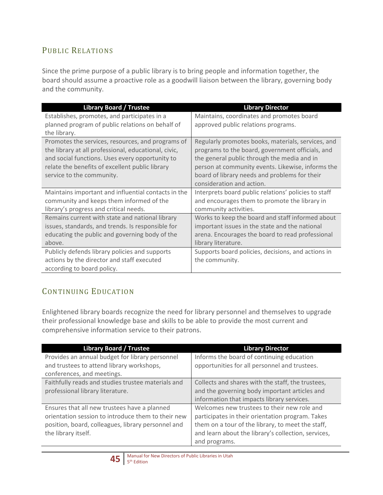### PUBLIC RELATIONS

Since the prime purpose of a public library is to bring people and information together, the board should assume a proactive role as a goodwill liaison between the library, governing body and the community.

| <b>Library Board / Trustee</b>                       | <b>Library Director</b>                              |
|------------------------------------------------------|------------------------------------------------------|
| Establishes, promotes, and participates in a         | Maintains, coordinates and promotes board            |
| planned program of public relations on behalf of     | approved public relations programs.                  |
| the library.                                         |                                                      |
| Promotes the services, resources, and programs of    | Regularly promotes books, materials, services, and   |
| the library at all professional, educational, civic, | programs to the board, government officials, and     |
| and social functions. Uses every opportunity to      | the general public through the media and in          |
| relate the benefits of excellent public library      | person at community events. Likewise, informs the    |
| service to the community.                            | board of library needs and problems for their        |
|                                                      | consideration and action.                            |
| Maintains important and influential contacts in the  | Interprets board public relations' policies to staff |
| community and keeps them informed of the             | and encourages them to promote the library in        |
| library's progress and critical needs.               | community activities.                                |
| Remains current with state and national library      | Works to keep the board and staff informed about     |
| issues, standards, and trends. Is responsible for    | important issues in the state and the national       |
| educating the public and governing body of the       | arena. Encourages the board to read professional     |
| above.                                               | library literature.                                  |
| Publicly defends library policies and supports       | Supports board policies, decisions, and actions in   |
| actions by the director and staff executed           | the community.                                       |
| according to board policy.                           |                                                      |

## CONTINUING EDUCATION

Enlightened library boards recognize the need for library personnel and themselves to upgrade their professional knowledge base and skills to be able to provide the most current and comprehensive information service to their patrons.

| <b>Library Board / Trustee</b>                     | <b>Library Director</b>                             |
|----------------------------------------------------|-----------------------------------------------------|
| Provides an annual budget for library personnel    | Informs the board of continuing education           |
| and trustees to attend library workshops,          | opportunities for all personnel and trustees.       |
| conferences, and meetings.                         |                                                     |
| Faithfully reads and studies trustee materials and | Collects and shares with the staff, the trustees,   |
| professional library literature.                   | and the governing body important articles and       |
|                                                    | information that impacts library services.          |
| Ensures that all new trustees have a planned       | Welcomes new trustees to their new role and         |
| orientation session to introduce them to their new | participates in their orientation program. Takes    |
| position, board, colleagues, library personnel and | them on a tour of the library, to meet the staff,   |
| the library itself.                                | and learn about the library's collection, services, |
|                                                    | and programs.                                       |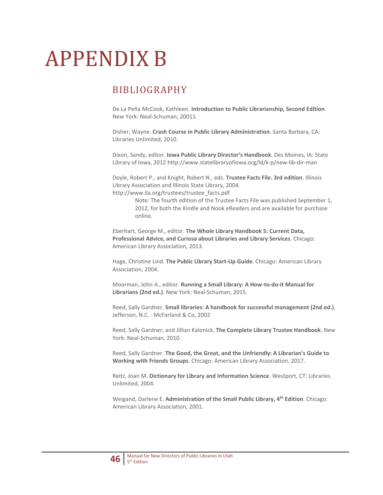# APPENDIX B

## BIBLIOGRAPHY

De La Peña McCook, Kathleen. **Introduction to Public Librarianship, Second Edition**. New York: Neal-Schuman, 20011.

Disher, Wayne. **Crash Course in Public Library Administration**. Santa Barbara, CA: Libraries Unlimited, 2010.

Dixon, Sandy, editor. **Iowa Public Library Director's Handbook**. Des Moines, IA: State Library of Iowa, 2012 http://www.statelibraryofiowa.org/ld/k-p/new-lib-dir-man

Doyle, Robert P., and Knight, Robert N., eds. **Trustee Facts File. 3rd edition**. Illinois Library Association and Illinois State Library, 2004. http://www.ila.org/trustees/trustee\_facts.pdf

> Note: The fourth edition of the Trustee Facts File was published September 1, 2012, for both the Kindle and Nook eReaders and are available for purchase online.

Eberhart, George M., editor. **The Whole Library Handbook 5: Current Data, Professional Advice, and Curiosa about Libraries and Library Services**. Chicago: American Library Association, 2013.

Hage, Christine Lind. **The Public Library Start-Up Guide**. Chicago: American Library Association, 2004.

Moorman, John A., editor. **Running a Small Library: A How-to-do-it Manual for Librarians (2nd ed.)**. New York: Neal-Schuman, 2015.

Reed, Sally Gardner. **Small libraries: A handbook for successful management (2nd ed.)**. Jefferson, N.C. : McFarland & Co, 2002

Reed, Sally Gardner, and Jillian Kalonick. **The Complete Library Trustee Handbook**. New York: Neal-Schuman, 2010.

Reed, Sally Gardner. **The Good, the Great, and the Unfriendly: A Librarian's Guide to Working with Friends Groups**. Chicago: American Library Association, 2017.

Reitz, Joan M. **Dictionary for Library and Information Science**. Westport, CT: Libraries Unlimited, 2004.

Weigand, Darlene E. **Administration of the Small Public Library, 4th Edition**. Chicago: American Library Association, 2001.

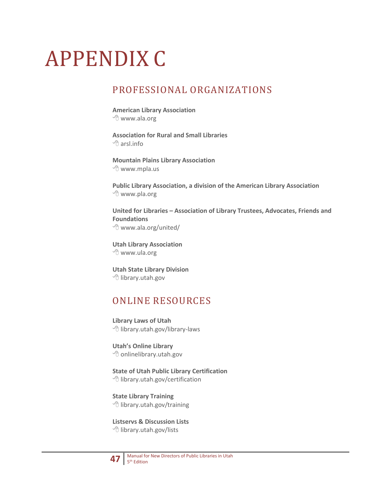# APPENDIX C

## PROFESSIONAL ORGANIZATIONS

**American Library Association** www.ala.org

**Association for Rural and Small Libraries**  $\sqrt{p}$  arsl.info

**Mountain Plains Library Association** www.mpla.us

**Public Library Association, a division of the American Library Association** www.pla.org

**United for Libraries – Association of Library Trustees, Advocates, Friends and Foundations** www.ala.org/united/

**Utah Library Association** www.ula.org

**Utah State Library Division** <sup></sub><br><sup>1</sup> library.utah.gov</sup>

## ONLINE RESOURCES

**Library Laws of Utah <sup>○</sup> library.utah.gov/library-laws** 

**Utah's Online Library** <sup></sub>O</sup> onlinelibrary.utah.gov

**State of Utah Public Library Certification** <sup></sub><sup>d</sup> library.utah.gov/certification</sup>

**State Library Training** <sup></sub><sup>t</sup> library.utah.gov/training</sup>

**Listservs & Discussion Lists <sup>1</sup> library.utah.gov/lists**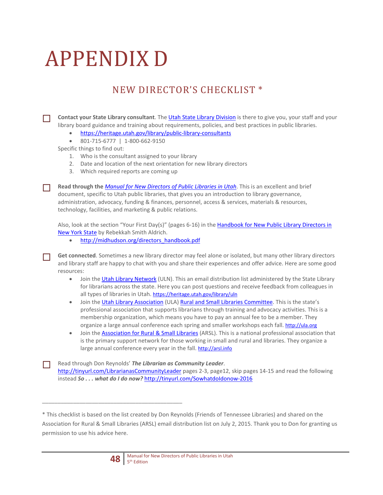# APPENDIX D

## NEW DIRECTOR'S CHECKLIST \*

 **Contact your State Library consultant**. Th[e Utah State Library Division](https://heritage.utah.gov/library) is there to give you, your staff and your library board guidance and training about requirements, policies, and best practices in public libraries.

- <https://heritage.utah.gov/library/public-library-consultants>
- 801-715-6777 | 1-800-662-9150

Specific things to find out:

- 1. Who is the consultant assigned to your library
- 2. Date and location of the next orientation for new library directors
- 3. Which required reports are coming up

 **Read through the** *[Manual for New Directors of Public Libraries in Utah](https://heritage.utah.gov/wp-content/uploads/USL-Orientation-Manual-for-New-Library-Directors-4th-Edition.pdf)*. This is an excellent and brief document, specific to Utah public libraries, that gives you an introduction to library governance, administration, advocacy, funding & finances, personnel, access & services, materials & resources, technology, facilities, and marketing & public relations.

Also, look at the section "Your First Day(s)" (pages 6-16) in the Handbook for New Public Library Directors in [New York State](http://midhudson.org/directors_handbook.pdf) by Rebekkah Smith Aldrich.

• [http://midhudson.org/directors\\_handbook.pdf](http://midhudson.org/directors_handbook.pdf)

 **Get connected**. Sometimes a new library director may feel alone or isolated, but many other library directors and library staff are happy to chat with you and share their experiences and offer advice. Here are some good resources:

- Join th[e Utah Library Network](https://heritage.utah.gov/library/uln) (ULN). This an email distribution list administered by the State Library for librarians across the state. Here you can post questions and receive feedback from colleagues in all types of libraries in Utah[. https://heritage.utah.gov/library/uln](https://heritage.utah.gov/library/uln)
- Join th[e Utah Library Association](http://ula.org/) (ULA[\) Rural and Small Libraries Committee.](http://ula.org/organization/committees/rural-and-small-libraries/) This is the state's professional association that supports librarians through training and advocacy activities. This is a membership organization, which means you have to pay an annual fee to be a member. They organize a large annual conference each spring and smaller workshops each fall[. http://ula.org](http://ula.org/)
- Join th[e Association for Rural & Small Libraries](http://arsl.info/) (ARSL). This is a national professional association that is the primary support network for those working in small and rural and libraries. They organize a large annual conference every year in the fall[. http://arsl.info](http://arsl.info/)

 Read through Don Reynolds' *The Librarian as Community Leader*. <http://tinyurl.com/LibrarianasCommunityLeader> pages 2-3, page12, skip pages 14-15 and read the following instead *So...* what do I do now? <http://tinyurl.com/SowhatdoIdonow-2016>

<sup>\*</sup> This checklist is based on the list created by Don Reynolds (Friends of Tennessee Libraries) and shared on the Association for Rural & Small Libraries (ARSL) email distribution list on July 2, 2015. Thank you to Don for granting us permission to use his advice here.



\_\_\_\_\_\_\_\_\_\_\_\_\_\_\_\_\_\_\_\_\_\_\_\_\_\_\_\_\_\_\_\_\_\_\_\_\_\_\_\_\_\_\_\_\_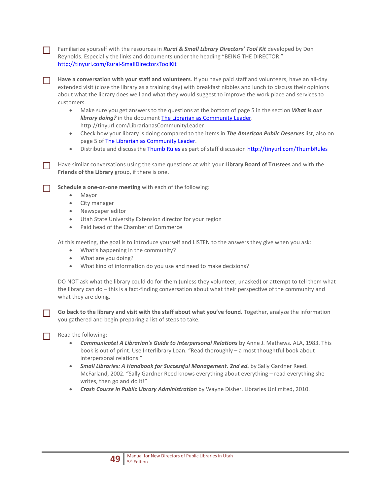Familiarize yourself with the resources in *Rural & Small Library Directors' Tool Kit* developed by Don Reynolds. Especially the links and documents under the heading "BEING THE DIRECTOR." <http://tinyurl.com/Rural-SmallDirectorsToolKit>

 **Have a conversation with your staff and volunteers**. If you have paid staff and volunteers, have an all-day extended visit (close the library as a training day) with breakfast nibbles and lunch to discuss their opinions about what the library does well and what they would suggest to improve the work place and services to customers.

- Make sure you get answers to the questions at the bottom of page 5 in the section *What is our library doing?* in the document [The Librarian as Community Leader.](http://tinyurl.com/LibrarianasCommunityLeader) http://tinyurl.com/LibrarianasCommunityLeader
- Check how your library is doing compared to the items in *The American Public Deserves* list, also on page 5 o[f The Librarian as Community Leader.](http://tinyurl.com/LibrarianasCommunityLeader)
- Distribute and discuss th[e Thumb Rules](http://tinyurl.com/ThumbRules) as part of staff discussio[n http://tinyurl.com/ThumbRules](http://tinyurl.com/ThumbRules)

 Have similar conversations using the same questions at with your **Library Board of Trustees** and with the **Friends of the Library** group, if there is one.

**Schedule a one-on-one meeting** with each of the following:<br>
• Mayor

- Mayor
- City manager
- Newspaper editor
- Utah State University Extension director for your region
- Paid head of the Chamber of Commerce

At this meeting, the goal is to introduce yourself and LISTEN to the answers they give when you ask:

- What's happening in the community?
- What are you doing?
- What kind of information do you use and need to make decisions?

DO NOT ask what the library could do for them (unless they volunteer, unasked) or attempt to tell them what the library can do – this is a fact-finding conversation about what their perspective of the community and what they are doing.

 **Go back to the library and visit with the staff about what you've found**. Together, analyze the information you gathered and begin preparing a list of steps to take.

Read the following:

- *Communicate! A Librarian's Guide to Interpersonal Relations* by Anne J. Mathews. ALA, 1983. This book is out of print. Use Interlibrary Loan. "Read thoroughly – a most thoughtful book about interpersonal relations."
- *Small Libraries: A Handbook for Successful Management. 2nd ed.* by Sally Gardner Reed. McFarland, 2002. "Sally Gardner Reed knows everything about everything – read everything she writes, then go and do it!"
- *Crash Course in Public Library Administration* by Wayne Disher. Libraries Unlimited, 2010.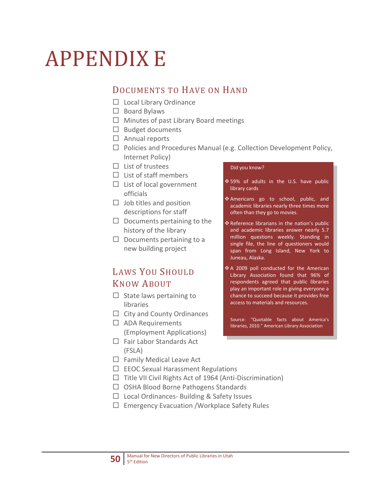# APPENDIX E

## DOCUMENTS TO HAVE ON HAND

- $\Box$  Local Library Ordinance
- $\Box$  Board Bylaws
- $\Box$  Minutes of past Library Board meetings
- $\Box$  Budget documents
- $\Box$  Annual reports
- $\Box$  Policies and Procedures Manual (e.g. Collection Development Policy, Internet Policy)
- $\Box$  List of trustees
- $\square$  List of staff members
- $\square$  List of local government officials
- $\Box$  Job titles and position descriptions for staff
- $\Box$  Documents pertaining to the history of the library
- $\Box$  Documents pertaining to a new building project

## LAWS YOU SHOULD KNOW ABOUT

- $\Box$  State laws pertaining to libraries
- $\Box$  City and County Ordinances
- $\square$  ADA Requirements (Employment Applications)
- $\Box$  Fair Labor Standards Act (FSLA)
- $\Box$  Family Medical Leave Act
- $\Box$  EEOC Sexual Harassment Regulations
- $\Box$  Title VII Civil Rights Act of 1964 (Anti-Discrimination)
- $\Box$  OSHA Blood Borne Pathogens Standards
- $\Box$  Local Ordinances- Building & Safety Issues
- $\square$  Emergency Evacuation /Workplace Safety Rules

#### Did you know?

- ❖ 59% of adults in the U.S. have public library cards
- \* Americans go to school, public, and academic libraries nearly three times more often than they go to movies.
- Reference librarians in the nation's public and academic libraries answer nearly 5.7 million questions weekly. Standing in single file, the line of questioners would span from Long Island, New York to Juneau, Alaska.
- ◆ A 2009 poll conducted for the American Library Association found that 96% of respondents agreed that public libraries play an important role in giving everyone a chance to succeed because it provides free access to materials and resources.

Source: "Quotable facts about America's libraries, 2010." American Library Association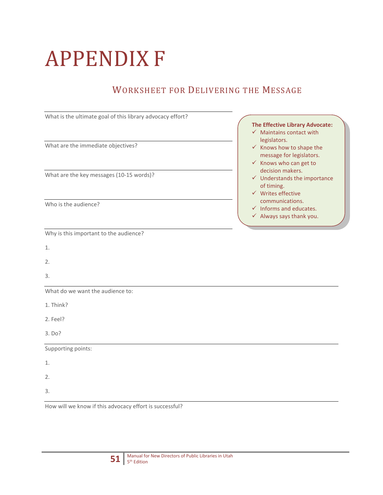# APPENDIX F

## WORKSHEET FOR DELIVERING THE MESSAGE

| What is the ultimate goal of this library advocacy effort? |                                                                           |
|------------------------------------------------------------|---------------------------------------------------------------------------|
|                                                            | <b>The Effective Library Advocate:</b>                                    |
|                                                            | $\checkmark$ Maintains contact with<br>legislators.                       |
| What are the immediate objectives?                         | $\checkmark$ Knows how to shape the                                       |
|                                                            | message for legislators.<br>$\checkmark$ Knows who can get to             |
|                                                            | decision makers.                                                          |
| What are the key messages (10-15 words)?                   | $\checkmark$ Understands the importance                                   |
|                                                            | of timing.<br>$\checkmark$ Writes effective                               |
| Who is the audience?                                       | communications.                                                           |
|                                                            | $\checkmark$ Informs and educates.<br>$\checkmark$ Always says thank you. |
|                                                            |                                                                           |
| Why is this important to the audience?                     |                                                                           |
| 1.                                                         |                                                                           |
| 2.                                                         |                                                                           |
| 3.                                                         |                                                                           |
| What do we want the audience to:                           |                                                                           |
| 1. Think?                                                  |                                                                           |
| 2. Feel?                                                   |                                                                           |
| 3. Do?                                                     |                                                                           |
| Supporting points:                                         |                                                                           |
| 1.                                                         |                                                                           |
| 2.                                                         |                                                                           |
| 3.                                                         |                                                                           |
| How will we know if this advocacy effort is successful?    |                                                                           |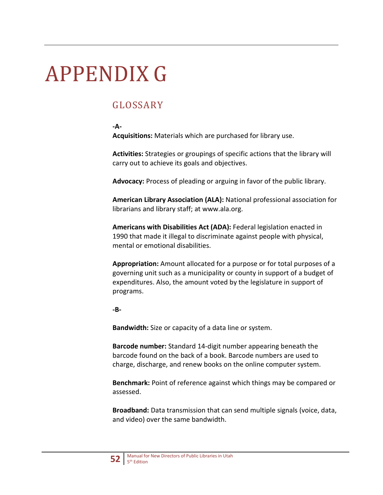# APPENDIX G

## GLOSSARY

#### **-A-**

**Acquisitions:** Materials which are purchased for library use.

**Activities:** Strategies or groupings of specific actions that the library will carry out to achieve its goals and objectives.

**Advocacy:** Process of pleading or arguing in favor of the public library.

**American Library Association (ALA):** National professional association for librarians and library staff; at www.ala.org.

**Americans with Disabilities Act (ADA):** Federal legislation enacted in 1990 that made it illegal to discriminate against people with physical, mental or emotional disabilities.

**Appropriation:** Amount allocated for a purpose or for total purposes of a governing unit such as a municipality or county in support of a budget of expenditures. Also, the amount voted by the legislature in support of programs.

#### **-B-**

**Bandwidth:** Size or capacity of a data line or system.

**Barcode number:** Standard 14-digit number appearing beneath the barcode found on the back of a book. Barcode numbers are used to charge, discharge, and renew books on the online computer system.

**Benchmark:** Point of reference against which things may be compared or assessed.

**Broadband:** Data transmission that can send multiple signals (voice, data, and video) over the same bandwidth.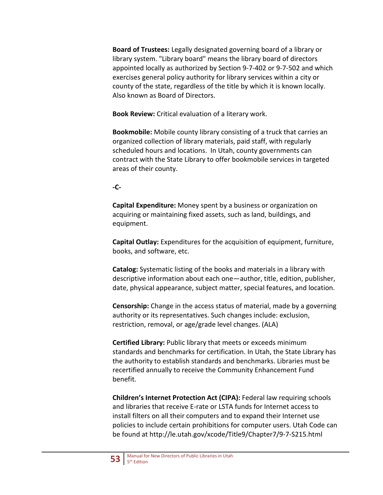**Board of Trustees:** Legally designated governing board of a library or library system. "Library board" means the library board of directors appointed locally as authorized by Section 9-7-402 or 9-7-502 and which exercises general policy authority for library services within a city or county of the state, regardless of the title by which it is known locally. Also known as Board of Directors.

**Book Review:** Critical evaluation of a literary work.

**Bookmobile:** Mobile county library consisting of a truck that carries an organized collection of library materials, paid staff, with regularly scheduled hours and locations. In Utah, county governments can contract with the State Library to offer bookmobile services in targeted areas of their county.

#### **-C-**

**Capital Expenditure:** Money spent by a business or organization on acquiring or maintaining fixed assets, such as land, buildings, and equipment.

**Capital Outlay:** Expenditures for the acquisition of equipment, furniture, books, and software, etc.

**Catalog:** Systematic listing of the books and materials in a library with descriptive information about each one—author, title, edition, publisher, date, physical appearance, subject matter, special features, and location.

**Censorship:** Change in the access status of material, made by a governing authority or its representatives. Such changes include: exclusion, restriction, removal, or age/grade level changes. (ALA)

**Certified Library:** Public library that meets or exceeds minimum standards and benchmarks for certification. In Utah, the State Library has the authority to establish standards and benchmarks. Libraries must be recertified annually to receive the Community Enhancement Fund benefit.

**Children's Internet Protection Act (CIPA):** Federal law requiring schools and libraries that receive E-rate or LSTA funds for Internet access to install filters on all their computers and to expand their Internet use policies to include certain prohibitions for computer users. Utah Code can be found at http://le.utah.gov/xcode/Title9/Chapter7/9-7-S215.html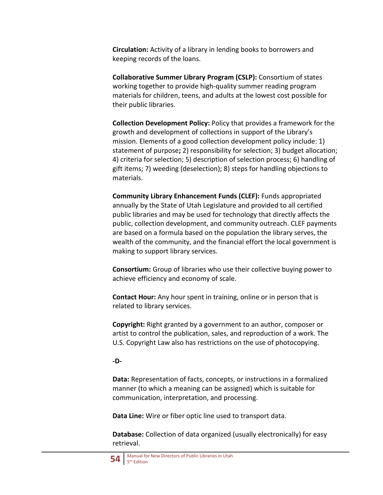**Circulation:** Activity of a library in lending books to borrowers and keeping records of the loans.

**Collaborative Summer Library Program (CSLP):** Consortium of states working together to provide high-quality summer reading program materials for children, teens, and adults at the lowest cost possible for their public libraries.

**Collection Development Policy:** Policy that provides a framework for the growth and development of collections in support of the Library's mission. Elements of a good collection development policy include: 1) statement of purpose**;** 2) responsibility for selection; 3) budget allocation; 4) criteria for selection; 5) description of selection process; 6) handling of gift items; 7) weeding (deselection); 8) steps for handling objections to materials.

**Community Library Enhancement Funds (CLEF):** Funds appropriated annually by the State of Utah Legislature and provided to all certified public libraries and may be used for technology that directly affects the public, collection development, and community outreach. CLEF payments are based on a formula based on the population the library serves, the wealth of the community, and the financial effort the local government is making to support library services.

**Consortium:** Group of libraries who use their collective buying power to achieve efficiency and economy of scale.

**Contact Hour:** Any hour spent in training, online or in person that is related to library services.

**Copyright:** Right granted by a government to an author, composer or artist to control the publication, sales, and reproduction of a work. The U.S. Copyright Law also has restrictions on the use of photocopying.

#### **-D-**

**Data:** Representation of facts, concepts, or instructions in a formalized manner (to which a meaning can be assigned) which is suitable for communication, interpretation, and processing.

**Data Line:** Wire or fiber optic line used to transport data.

**Database:** Collection of data organized (usually electronically) for easy retrieval.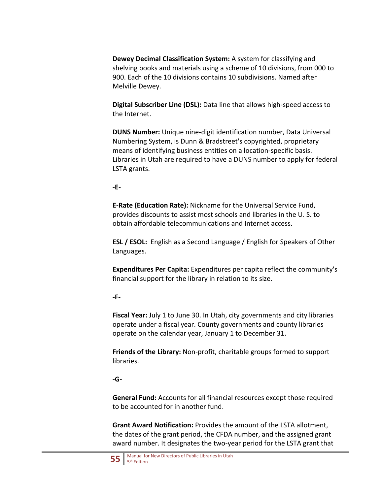**Dewey Decimal Classification System:** A system for classifying and shelving books and materials using a scheme of 10 divisions, from 000 to 900. Each of the 10 divisions contains 10 subdivisions. Named after Melville Dewey.

**Digital Subscriber Line (DSL):** Data line that allows high-speed access to the Internet.

**DUNS Number:** Unique nine-digit identification number, Data Universal Numbering System, is Dunn & Bradstreet's copyrighted, proprietary means of identifying business entities on a location-specific basis. Libraries in Utah are required to have a DUNS number to apply for federal LSTA grants.

#### **-E-**

**E-Rate (Education Rate):** Nickname for the Universal Service Fund, provides discounts to assist most schools and libraries in the U. S. to obtain affordable telecommunications and Internet access.

**ESL / ESOL:** English as a Second Language / English for Speakers of Other Languages.

**Expenditures Per Capita:** Expenditures per capita reflect the community's financial support for the library in relation to its size.

#### **-F-**

**Fiscal Year:** July 1 to June 30. In Utah, city governments and city libraries operate under a fiscal year. County governments and county libraries operate on the calendar year, January 1 to December 31.

**Friends of the Library:** Non-profit, charitable groups formed to support libraries.

#### **-G-**

**General Fund:** Accounts for all financial resources except those required to be accounted for in another fund.

**Grant Award Notification:** Provides the amount of the LSTA allotment, the dates of the grant period, the CFDA number, and the assigned grant award number. It designates the two-year period for the LSTA grant that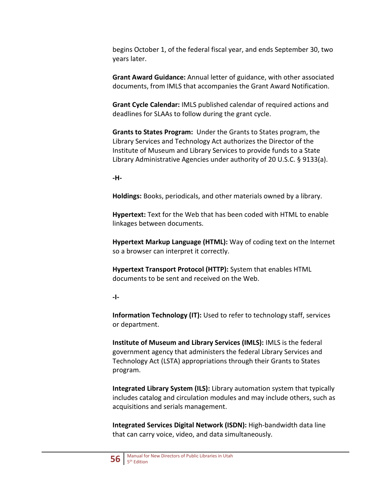begins October 1, of the federal fiscal year, and ends September 30, two years later.

**Grant Award Guidance:** Annual letter of guidance, with other associated documents, from IMLS that accompanies the Grant Award Notification.

**Grant Cycle Calendar:** IMLS published calendar of required actions and deadlines for SLAAs to follow during the grant cycle.

**Grants to States Program:** Under the Grants to States program, the Library Services and Technology Act authorizes the Director of the Institute of Museum and Library Services to provide funds to a State Library Administrative Agencies under authority of 20 U.S.C. § 9133(a).

**-H-**

**Holdings:** Books, periodicals, and other materials owned by a library.

**Hypertext:** Text for the Web that has been coded with HTML to enable linkages between documents.

**Hypertext Markup Language (HTML):** Way of coding text on the Internet so a browser can interpret it correctly.

**Hypertext Transport Protocol (HTTP):** System that enables HTML documents to be sent and received on the Web.

**-I-**

**Information Technology (IT):** Used to refer to technology staff, services or department.

**Institute of Museum and Library Services (IMLS):** IMLS is the federal government agency that administers the federal Library Services and Technology Act (LSTA) appropriations through their Grants to States program.

**Integrated Library System (ILS):** Library automation system that typically includes catalog and circulation modules and may include others, such as acquisitions and serials management.

**Integrated Services Digital Network (ISDN):** High-bandwidth data line that can carry voice, video, and data simultaneously.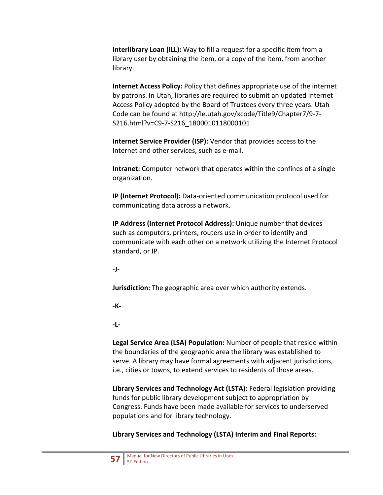**Interlibrary Loan (ILL):** Way to fill a request for a specific item from a library user by obtaining the item, or a copy of the item, from another library.

**Internet Access Policy:** Policy that defines appropriate use of the internet by patrons. In Utah, libraries are required to submit an updated Internet Access Policy adopted by the Board of Trustees every three years. Utah Code can be found at http://le.utah.gov/xcode/Title9/Chapter7/9-7- S216.html?v=C9-7-S216\_1800010118000101

**Internet Service Provider (ISP):** Vendor that provides access to the Internet and other services, such as e-mail.

**Intranet:** Computer network that operates within the confines of a single organization.

**IP (Internet Protocol):** Data-oriented communication protocol used for communicating data across a network.

**IP Address (Internet Protocol Address):** Unique number that devices such as computers, printers, routers use in order to identify and communicate with each other on a network utilizing the Internet Protocol standard, or IP.

**-J-**

**Jurisdiction:** The geographic area over which authority extends.

**-K-**

**-L-**

**Legal Service Area (LSA) Population:** Number of people that reside within the boundaries of the geographic area the library was established to serve. A library may have formal agreements with adjacent jurisdictions, i.e., cities or towns, to extend services to residents of those areas.

**Library Services and Technology Act (LSTA):** Federal legislation providing funds for public library development subject to appropriation by Congress. Funds have been made available for services to underserved populations and for library technology.

**Library Services and Technology (LSTA) Interim and Final Reports:**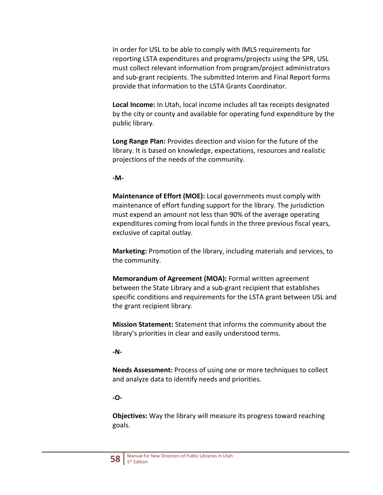In order for USL to be able to comply with IMLS requirements for reporting LSTA expenditures and programs/projects using the SPR, USL must collect relevant information from program/project administrators and sub-grant recipients. The submitted Interim and Final Report forms provide that information to the LSTA Grants Coordinator.

**Local Income:** In Utah, local income includes all tax receipts designated by the city or county and available for operating fund expenditure by the public library.

**Long Range Plan:** Provides direction and vision for the future of the library. It is based on knowledge, expectations, resources and realistic projections of the needs of the community.

#### **-M-**

**Maintenance of Effort (MOE):** Local governments must comply with maintenance of effort funding support for the library. The jurisdiction must expend an amount not less than 90% of the average operating expenditures coming from local funds in the three previous fiscal years, exclusive of capital outlay.

**Marketing:** Promotion of the library, including materials and services, to the community.

**Memorandum of Agreement (MOA):** Formal written agreement between the State Library and a sub-grant recipient that establishes specific conditions and requirements for the LSTA grant between USL and the grant recipient library.

**Mission Statement:** Statement that informs the community about the library's priorities in clear and easily understood terms.

#### **-N-**

**Needs Assessment:** Process of using one or more techniques to collect and analyze data to identify needs and priorities.

#### **-O-**

**Objectives:** Way the library will measure its progress toward reaching goals.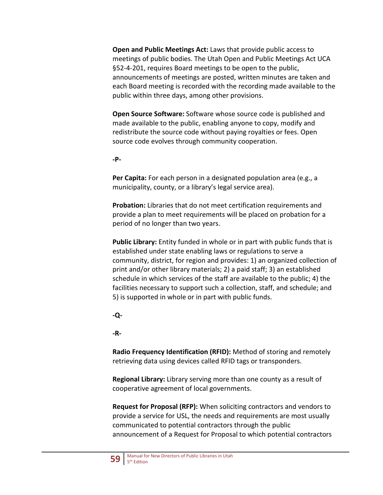**Open and Public Meetings Act:** Laws that provide public access to meetings of public bodies. The Utah Open and Public Meetings Act UCA §52-4-201, requires Board meetings to be open to the public, announcements of meetings are posted, written minutes are taken and each Board meeting is recorded with the recording made available to the public within three days, among other provisions.

**Open Source Software:** Software whose source code is published and made available to the public, enabling anyone to copy, modify and redistribute the source code without paying royalties or fees. Open source code evolves through community cooperation.

#### **-P-**

**Per Capita:** For each person in a designated population area (e.g., a municipality, county, or a library's legal service area).

**Probation:** Libraries that do not meet certification requirements and provide a plan to meet requirements will be placed on probation for a period of no longer than two years.

**Public Library:** Entity funded in whole or in part with public funds that is established under state enabling laws or regulations to serve a community, district, for region and provides: 1) an organized collection of print and/or other library materials; 2) a paid staff; 3) an established schedule in which services of the staff are available to the public; 4) the facilities necessary to support such a collection, staff, and schedule; and 5) is supported in whole or in part with public funds.

#### **-Q-**

#### **-R-**

**Radio Frequency Identification (RFID):** Method of storing and remotely retrieving data using devices called RFID tags or transponders.

**Regional Library:** Library serving more than one county as a result of cooperative agreement of local governments.

**Request for Proposal (RFP):** When soliciting contractors and vendors to provide a service for USL, the needs and requirements are most usually communicated to potential contractors through the public announcement of a Request for Proposal to which potential contractors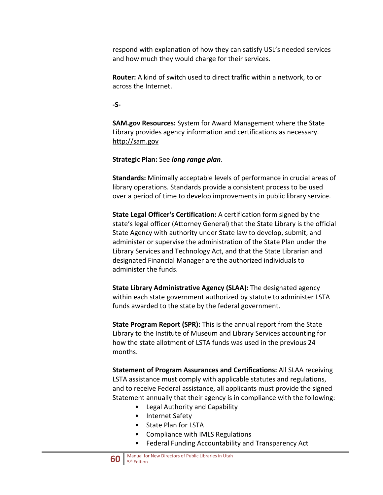respond with explanation of how they can satisfy USL's needed services and how much they would charge for their services.

**Router:** A kind of switch used to direct traffic within a network, to or across the Internet.

**-S-**

**SAM.gov Resources:** System for Award Management where the State Library provides agency information and certifications as necessary. [http://sam.gov](http://sam.gov/)

**Strategic Plan:** See *long range plan*.

**Standards:** Minimally acceptable levels of performance in crucial areas of library operations. Standards provide a consistent process to be used over a period of time to develop improvements in public library service.

**State Legal Officer's Certification:** A certification form signed by the state's legal officer (Attorney General) that the State Library is the official State Agency with authority under State law to develop, submit, and administer or supervise the administration of the State Plan under the Library Services and Technology Act, and that the State Librarian and designated Financial Manager are the authorized individuals to administer the funds.

**State Library Administrative Agency (SLAA):** The designated agency within each state government authorized by statute to administer LSTA funds awarded to the state by the federal government.

**State Program Report (SPR):** This is the annual report from the State Library to the Institute of Museum and Library Services accounting for how the state allotment of LSTA funds was used in the previous 24 months.

**Statement of Program Assurances and Certifications:** All SLAA receiving LSTA assistance must comply with applicable statutes and regulations, and to receive Federal assistance, all applicants must provide the signed Statement annually that their agency is in compliance with the following:

- Legal Authority and Capability
- Internet Safety
- State Plan for LSTA
- Compliance with IMLS Regulations
- Federal Funding Accountability and Transparency Act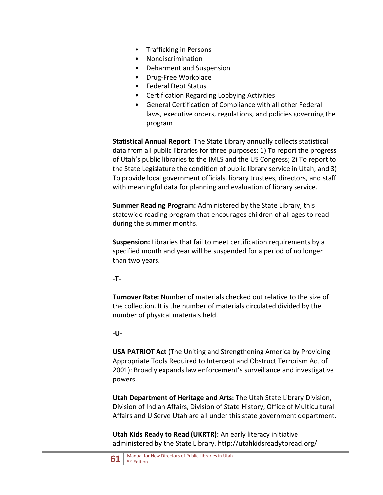- Trafficking in Persons
- Nondiscrimination
- Debarment and Suspension
- Drug-Free Workplace
- Federal Debt Status
- Certification Regarding Lobbying Activities
- General Certification of Compliance with all other Federal laws, executive orders, regulations, and policies governing the program

**Statistical Annual Report:** The State Library annually collects statistical data from all public libraries for three purposes: 1) To report the progress of Utah's public libraries to the IMLS and the US Congress; 2) To report to the State Legislature the condition of public library service in Utah; and 3) To provide local government officials, library trustees, directors, and staff with meaningful data for planning and evaluation of library service.

**Summer Reading Program:** Administered by the State Library, this statewide reading program that encourages children of all ages to read during the summer months.

**Suspension:** Libraries that fail to meet certification requirements by a specified month and year will be suspended for a period of no longer than two years.

#### **-T-**

**Turnover Rate:** Number of materials checked out relative to the size of the collection. It is the number of materials circulated divided by the number of physical materials held.

#### **-U-**

**USA PATRIOT Act** (The Uniting and Strengthening America by Providing Appropriate Tools Required to Intercept and Obstruct Terrorism Act of 2001): Broadly expands law enforcement's surveillance and investigative powers.

**Utah Department of Heritage and Arts:** The Utah State Library Division, Division of Indian Affairs, Division of State History, Office of Multicultural Affairs and U Serve Utah are all under this state government department.

**Utah Kids Ready to Read (UKRTR):** An early literacy initiative administered by the State Library. http://utahkidsreadytoread.org/